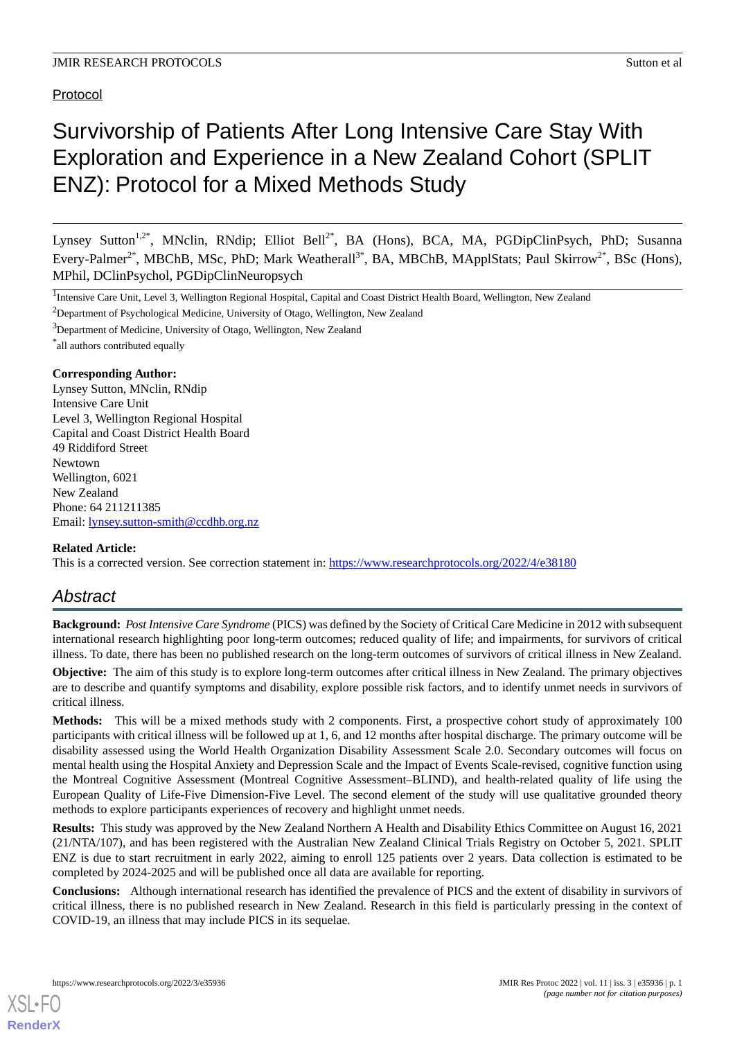# Protocol

# Survivorship of Patients After Long Intensive Care Stay With Exploration and Experience in a New Zealand Cohort (SPLIT ENZ): Protocol for a Mixed Methods Study

Lynsey Sutton<sup>1,2\*</sup>, MNclin, RNdip; Elliot Bell<sup>2\*</sup>, BA (Hons), BCA, MA, PGDipClinPsych, PhD; Susanna Every-Palmer<sup>2\*</sup>, MBChB, MSc, PhD; Mark Weatherall<sup>3\*</sup>, BA, MBChB, MApplStats; Paul Skirrow<sup>2\*</sup>, BSc (Hons), MPhil, DClinPsychol, PGDipClinNeuropsych

- <sup>2</sup>Department of Psychological Medicine, University of Otago, Wellington, New Zealand
- <sup>3</sup>Department of Medicine, University of Otago, Wellington, New Zealand

\* all authors contributed equally

# **Corresponding Author:**

Lynsey Sutton, MNclin, RNdip Intensive Care Unit Level 3, Wellington Regional Hospital Capital and Coast District Health Board 49 Riddiford Street Newtown Wellington, 6021 New Zealand Phone: 64 211211385 Email: [lynsey.sutton-smith@ccdhb.org.nz](mailto:lynsey.sutton-smith@ccdhb.org.nz)

# **Related Article:**

This is a corrected version. See correction statement in: <https://www.researchprotocols.org/2022/4/e38180>

# *Abstract*

**Background:** *Post Intensive Care Syndrome* (PICS) was defined by the Society of Critical Care Medicine in 2012 with subsequent international research highlighting poor long-term outcomes; reduced quality of life; and impairments, for survivors of critical illness. To date, there has been no published research on the long-term outcomes of survivors of critical illness in New Zealand.

**Objective:** The aim of this study is to explore long-term outcomes after critical illness in New Zealand. The primary objectives are to describe and quantify symptoms and disability, explore possible risk factors, and to identify unmet needs in survivors of critical illness.

**Methods:** This will be a mixed methods study with 2 components. First, a prospective cohort study of approximately 100 participants with critical illness will be followed up at 1, 6, and 12 months after hospital discharge. The primary outcome will be disability assessed using the World Health Organization Disability Assessment Scale 2.0. Secondary outcomes will focus on mental health using the Hospital Anxiety and Depression Scale and the Impact of Events Scale-revised, cognitive function using the Montreal Cognitive Assessment (Montreal Cognitive Assessment–BLIND), and health-related quality of life using the European Quality of Life-Five Dimension-Five Level. The second element of the study will use qualitative grounded theory methods to explore participants experiences of recovery and highlight unmet needs.

**Results:** This study was approved by the New Zealand Northern A Health and Disability Ethics Committee on August 16, 2021 (21/NTA/107), and has been registered with the Australian New Zealand Clinical Trials Registry on October 5, 2021. SPLIT ENZ is due to start recruitment in early 2022, aiming to enroll 125 patients over 2 years. Data collection is estimated to be completed by 2024-2025 and will be published once all data are available for reporting.

**Conclusions:** Although international research has identified the prevalence of PICS and the extent of disability in survivors of critical illness, there is no published research in New Zealand. Research in this field is particularly pressing in the context of COVID-19, an illness that may include PICS in its sequelae.

<sup>&</sup>lt;sup>1</sup>Intensive Care Unit, Level 3, Wellington Regional Hospital, Capital and Coast District Health Board, Wellington, New Zealand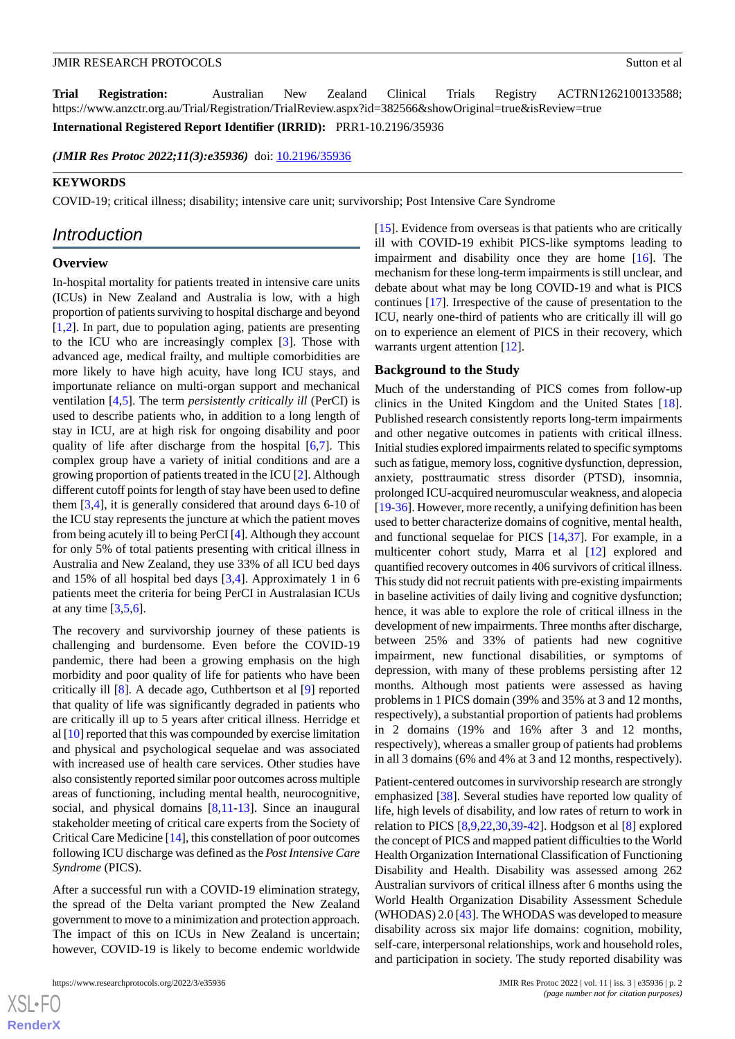**Trial Registration:** Australian New Zealand Clinical Trials Registry ACTRN1262100133588; https://www.anzctr.org.au/Trial/Registration/TrialReview.aspx?id=382566&showOriginal=true&isReview=true

**International Registered Report Identifier (IRRID):** PRR1-10.2196/35936

(JMIR Res Protoc 2022;11(3):e35936) doi: [10.2196/35936](http://dx.doi.org/10.2196/35936)

#### **KEYWORDS**

COVID-19; critical illness; disability; intensive care unit; survivorship; Post Intensive Care Syndrome

# *Introduction*

### **Overview**

In-hospital mortality for patients treated in intensive care units (ICUs) in New Zealand and Australia is low, with a high proportion of patients surviving to hospital discharge and beyond [[1](#page-12-0)[,2](#page-12-1)]. In part, due to population aging, patients are presenting to the ICU who are increasingly complex [\[3](#page-12-2)]. Those with advanced age, medical frailty, and multiple comorbidities are more likely to have high acuity, have long ICU stays, and importunate reliance on multi-organ support and mechanical ventilation [[4](#page-12-3),[5\]](#page-12-4). The term *persistently critically ill* (PerCI) is used to describe patients who, in addition to a long length of stay in ICU, are at high risk for ongoing disability and poor quality of life after discharge from the hospital [\[6](#page-12-5)[,7\]](#page-12-6). This complex group have a variety of initial conditions and are a growing proportion of patients treated in the ICU [\[2](#page-12-1)]. Although different cutoff points for length of stay have been used to define them [\[3,](#page-12-2)[4](#page-12-3)], it is generally considered that around days 6-10 of the ICU stay represents the juncture at which the patient moves from being acutely ill to being PerCI [\[4](#page-12-3)]. Although they account for only 5% of total patients presenting with critical illness in Australia and New Zealand, they use 33% of all ICU bed days and 15% of all hospital bed days [[3](#page-12-2)[,4](#page-12-3)]. Approximately 1 in 6 patients meet the criteria for being PerCI in Australasian ICUs at any time  $[3,5,6]$  $[3,5,6]$  $[3,5,6]$  $[3,5,6]$  $[3,5,6]$ .

The recovery and survivorship journey of these patients is challenging and burdensome. Even before the COVID-19 pandemic, there had been a growing emphasis on the high morbidity and poor quality of life for patients who have been critically ill [[8\]](#page-12-7). A decade ago, Cuthbertson et al [[9\]](#page-12-8) reported that quality of life was significantly degraded in patients who are critically ill up to 5 years after critical illness. Herridge et al [[10\]](#page-12-9) reported that this was compounded by exercise limitation and physical and psychological sequelae and was associated with increased use of health care services. Other studies have also consistently reported similar poor outcomes across multiple areas of functioning, including mental health, neurocognitive, social, and physical domains [[8,](#page-12-7)[11](#page-12-10)-[13\]](#page-12-11). Since an inaugural stakeholder meeting of critical care experts from the Society of Critical Care Medicine [\[14](#page-12-12)], this constellation of poor outcomes following ICU discharge was defined as the *Post Intensive Care Syndrome* (PICS).

After a successful run with a COVID-19 elimination strategy, the spread of the Delta variant prompted the New Zealand government to move to a minimization and protection approach. The impact of this on ICUs in New Zealand is uncertain; however, COVID-19 is likely to become endemic worldwide

[[15\]](#page-12-13). Evidence from overseas is that patients who are critically ill with COVID-19 exhibit PICS-like symptoms leading to impairment and disability once they are home [[16\]](#page-12-14). The mechanism for these long-term impairments is still unclear, and debate about what may be long COVID-19 and what is PICS continues [\[17](#page-12-15)]. Irrespective of the cause of presentation to the ICU, nearly one-third of patients who are critically ill will go on to experience an element of PICS in their recovery, which warrants urgent attention [\[12](#page-12-16)].

#### **Background to the Study**

Much of the understanding of PICS comes from follow-up clinics in the United Kingdom and the United States [[18\]](#page-13-0). Published research consistently reports long-term impairments and other negative outcomes in patients with critical illness. Initial studies explored impairments related to specific symptoms such as fatigue, memory loss, cognitive dysfunction, depression, anxiety, posttraumatic stress disorder (PTSD), insomnia, prolonged ICU-acquired neuromuscular weakness, and alopecia [[19](#page-13-1)[-36](#page-13-2)]. However, more recently, a unifying definition has been used to better characterize domains of cognitive, mental health, and functional sequelae for PICS [[14,](#page-12-12)[37](#page-13-3)]. For example, in a multicenter cohort study, Marra et al [[12\]](#page-12-16) explored and quantified recovery outcomes in 406 survivors of critical illness. This study did not recruit patients with pre-existing impairments in baseline activities of daily living and cognitive dysfunction; hence, it was able to explore the role of critical illness in the development of new impairments. Three months after discharge, between 25% and 33% of patients had new cognitive impairment, new functional disabilities, or symptoms of depression, with many of these problems persisting after 12 months. Although most patients were assessed as having problems in 1 PICS domain (39% and 35% at 3 and 12 months, respectively), a substantial proportion of patients had problems in 2 domains (19% and 16% after 3 and 12 months, respectively), whereas a smaller group of patients had problems in all 3 domains (6% and 4% at 3 and 12 months, respectively).

Patient-centered outcomes in survivorship research are strongly emphasized [\[38](#page-14-0)]. Several studies have reported low quality of life, high levels of disability, and low rates of return to work in relation to PICS [[8,](#page-12-7)[9](#page-12-8),[22,](#page-13-4)[30,](#page-13-5)[39](#page-14-1)[-42](#page-14-2)]. Hodgson et al [\[8](#page-12-7)] explored the concept of PICS and mapped patient difficulties to the World Health Organization International Classification of Functioning Disability and Health. Disability was assessed among 262 Australian survivors of critical illness after 6 months using the World Health Organization Disability Assessment Schedule (WHODAS) 2.0 [\[43](#page-14-3)]. The WHODAS was developed to measure disability across six major life domains: cognition, mobility, self-care, interpersonal relationships, work and household roles, and participation in society. The study reported disability was

 $XS$  • FO **[RenderX](http://www.renderx.com/)**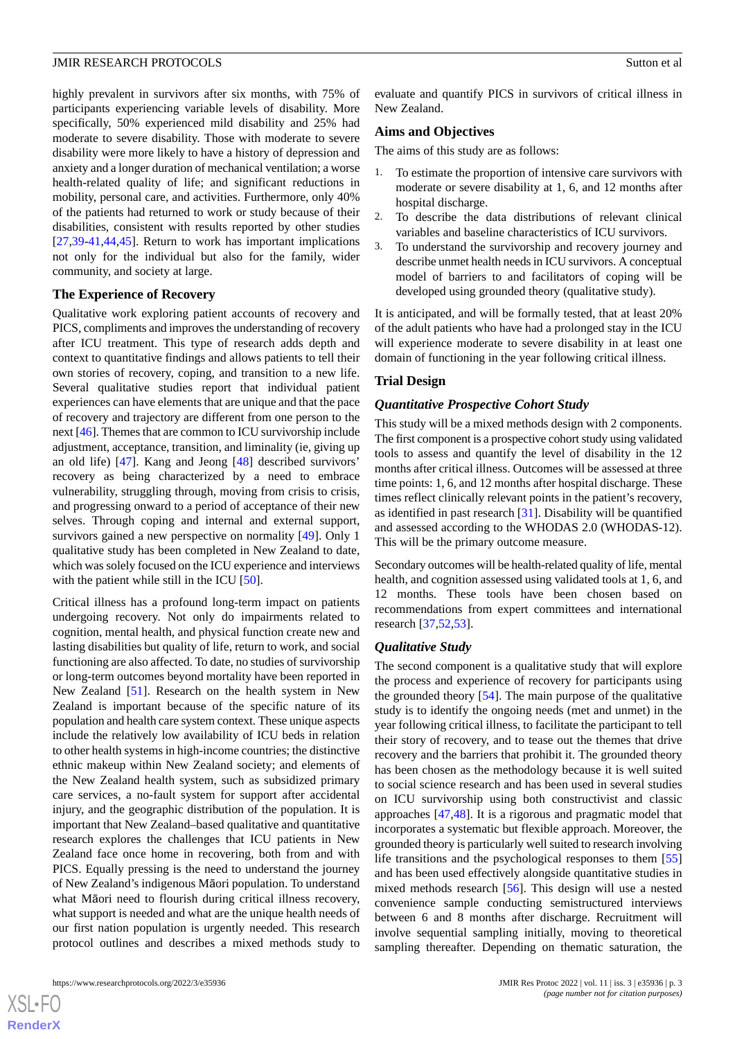highly prevalent in survivors after six months, with 75% of participants experiencing variable levels of disability. More specifically, 50% experienced mild disability and 25% had moderate to severe disability. Those with moderate to severe disability were more likely to have a history of depression and anxiety and a longer duration of mechanical ventilation; a worse health-related quality of life; and significant reductions in mobility, personal care, and activities. Furthermore, only 40% of the patients had returned to work or study because of their disabilities, consistent with results reported by other studies [[27](#page-13-6)[,39](#page-14-1)-[41,](#page-14-4)[44](#page-14-5),[45\]](#page-14-6). Return to work has important implications not only for the individual but also for the family, wider community, and society at large.

### **The Experience of Recovery**

Qualitative work exploring patient accounts of recovery and PICS, compliments and improves the understanding of recovery after ICU treatment. This type of research adds depth and context to quantitative findings and allows patients to tell their own stories of recovery, coping, and transition to a new life. Several qualitative studies report that individual patient experiences can have elements that are unique and that the pace of recovery and trajectory are different from one person to the next [[46](#page-14-7)]. Themes that are common to ICU survivorship include adjustment, acceptance, transition, and liminality (ie, giving up an old life) [[47\]](#page-14-8). Kang and Jeong [[48\]](#page-14-9) described survivors' recovery as being characterized by a need to embrace vulnerability, struggling through, moving from crisis to crisis, and progressing onward to a period of acceptance of their new selves. Through coping and internal and external support, survivors gained a new perspective on normality [[49\]](#page-14-10). Only 1 qualitative study has been completed in New Zealand to date, which was solely focused on the ICU experience and interviews with the patient while still in the ICU [[50\]](#page-14-11).

Critical illness has a profound long-term impact on patients undergoing recovery. Not only do impairments related to cognition, mental health, and physical function create new and lasting disabilities but quality of life, return to work, and social functioning are also affected. To date, no studies of survivorship or long-term outcomes beyond mortality have been reported in New Zealand [[51\]](#page-14-12). Research on the health system in New Zealand is important because of the specific nature of its population and health care system context. These unique aspects include the relatively low availability of ICU beds in relation to other health systems in high-income countries; the distinctive ethnic makeup within New Zealand society; and elements of the New Zealand health system, such as subsidized primary care services, a no-fault system for support after accidental injury, and the geographic distribution of the population. It is important that New Zealand–based qualitative and quantitative research explores the challenges that ICU patients in New Zealand face once home in recovering, both from and with PICS. Equally pressing is the need to understand the journey of New Zealand's indigenous Māori population. To understand what Māori need to flourish during critical illness recovery, what support is needed and what are the unique health needs of our first nation population is urgently needed. This research protocol outlines and describes a mixed methods study to

 $XS$  • FO **[RenderX](http://www.renderx.com/)**

evaluate and quantify PICS in survivors of critical illness in New Zealand.

### **Aims and Objectives**

The aims of this study are as follows:

- 1. To estimate the proportion of intensive care survivors with moderate or severe disability at 1, 6, and 12 months after hospital discharge.
- 2. To describe the data distributions of relevant clinical variables and baseline characteristics of ICU survivors.
- 3. To understand the survivorship and recovery journey and describe unmet health needs in ICU survivors. A conceptual model of barriers to and facilitators of coping will be developed using grounded theory (qualitative study).

It is anticipated, and will be formally tested, that at least 20% of the adult patients who have had a prolonged stay in the ICU will experience moderate to severe disability in at least one domain of functioning in the year following critical illness.

### **Trial Design**

#### *Quantitative Prospective Cohort Study*

This study will be a mixed methods design with 2 components. The first component is a prospective cohort study using validated tools to assess and quantify the level of disability in the 12 months after critical illness. Outcomes will be assessed at three time points: 1, 6, and 12 months after hospital discharge. These times reflect clinically relevant points in the patient's recovery, as identified in past research [[31\]](#page-13-7). Disability will be quantified and assessed according to the WHODAS 2.0 (WHODAS-12). This will be the primary outcome measure.

Secondary outcomes will be health-related quality of life, mental health, and cognition assessed using validated tools at 1, 6, and 12 months. These tools have been chosen based on recommendations from expert committees and international research [[37](#page-13-3)[,52](#page-14-13),[53\]](#page-14-14).

#### *Qualitative Study*

The second component is a qualitative study that will explore the process and experience of recovery for participants using the grounded theory [[54\]](#page-14-15). The main purpose of the qualitative study is to identify the ongoing needs (met and unmet) in the year following critical illness, to facilitate the participant to tell their story of recovery, and to tease out the themes that drive recovery and the barriers that prohibit it. The grounded theory has been chosen as the methodology because it is well suited to social science research and has been used in several studies on ICU survivorship using both constructivist and classic approaches [\[47](#page-14-8),[48\]](#page-14-9). It is a rigorous and pragmatic model that incorporates a systematic but flexible approach. Moreover, the grounded theory is particularly well suited to research involving life transitions and the psychological responses to them [\[55](#page-14-16)] and has been used effectively alongside quantitative studies in mixed methods research [[56\]](#page-14-17). This design will use a nested convenience sample conducting semistructured interviews between 6 and 8 months after discharge. Recruitment will involve sequential sampling initially, moving to theoretical sampling thereafter. Depending on thematic saturation, the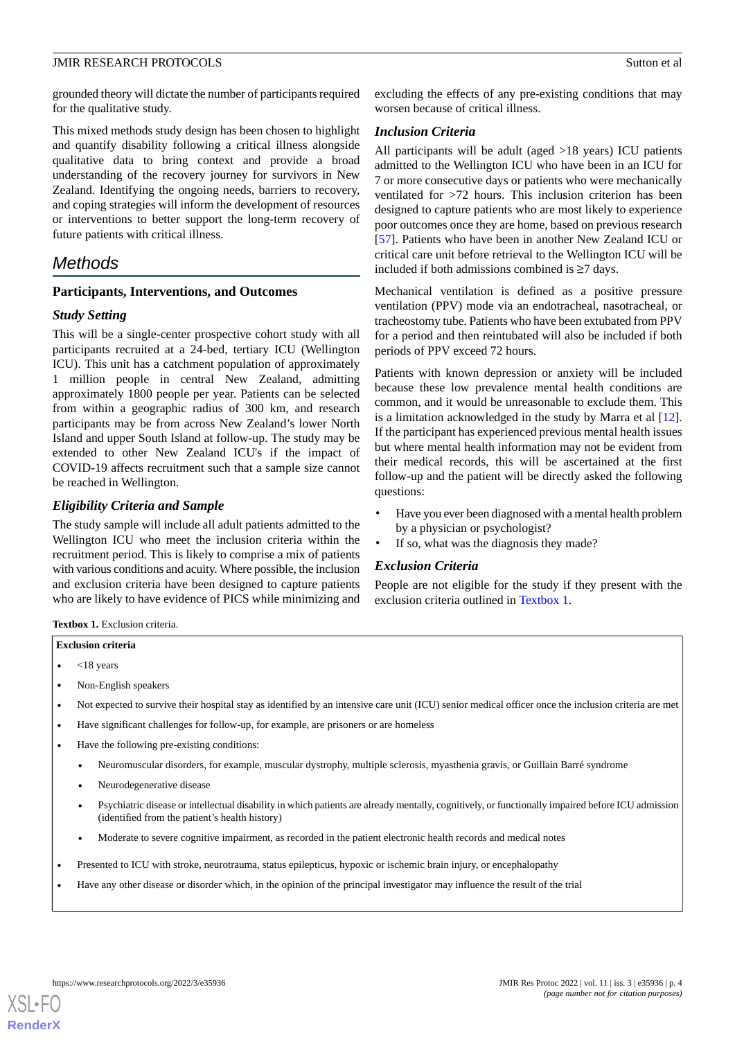grounded theory will dictate the number of participants required for the qualitative study.

This mixed methods study design has been chosen to highlight and quantify disability following a critical illness alongside qualitative data to bring context and provide a broad understanding of the recovery journey for survivors in New Zealand. Identifying the ongoing needs, barriers to recovery, and coping strategies will inform the development of resources or interventions to better support the long-term recovery of future patients with critical illness.

# *Methods*

### **Participants, Interventions, and Outcomes**

# *Study Setting*

This will be a single-center prospective cohort study with all participants recruited at a 24-bed, tertiary ICU (Wellington ICU). This unit has a catchment population of approximately 1 million people in central New Zealand, admitting approximately 1800 people per year. Patients can be selected from within a geographic radius of 300 km, and research participants may be from across New Zealand's lower North Island and upper South Island at follow-up. The study may be extended to other New Zealand ICU's if the impact of COVID-19 affects recruitment such that a sample size cannot be reached in Wellington.

# *Eligibility Criteria and Sample*

<span id="page-3-0"></span>The study sample will include all adult patients admitted to the Wellington ICU who meet the inclusion criteria within the recruitment period. This is likely to comprise a mix of patients with various conditions and acuity. Where possible, the inclusion and exclusion criteria have been designed to capture patients who are likely to have evidence of PICS while minimizing and excluding the effects of any pre-existing conditions that may worsen because of critical illness.

# *Inclusion Criteria*

All participants will be adult (aged >18 years) ICU patients admitted to the Wellington ICU who have been in an ICU for 7 or more consecutive days or patients who were mechanically ventilated for >72 hours. This inclusion criterion has been designed to capture patients who are most likely to experience poor outcomes once they are home, based on previous research [[57\]](#page-14-18). Patients who have been in another New Zealand ICU or critical care unit before retrieval to the Wellington ICU will be included if both admissions combined is ≥7 days.

Mechanical ventilation is defined as a positive pressure ventilation (PPV) mode via an endotracheal, nasotracheal, or tracheostomy tube. Patients who have been extubated from PPV for a period and then reintubated will also be included if both periods of PPV exceed 72 hours.

Patients with known depression or anxiety will be included because these low prevalence mental health conditions are common, and it would be unreasonable to exclude them. This is a limitation acknowledged in the study by Marra et al [[12\]](#page-12-16). If the participant has experienced previous mental health issues but where mental health information may not be evident from their medical records, this will be ascertained at the first follow-up and the patient will be directly asked the following questions:

- Have you ever been diagnosed with a mental health problem by a physician or psychologist?
- If so, what was the diagnosis they made?

### *Exclusion Criteria*

People are not eligible for the study if they present with the exclusion criteria outlined in [Textbox 1.](#page-3-0)

**Textbox 1.** Exclusion criteria.

- **Exclusion criteria**
- <18 years
- Non-English speakers
- Not expected to survive their hospital stay as identified by an intensive care unit (ICU) senior medical officer once the inclusion criteria are met
- Have significant challenges for follow-up, for example, are prisoners or are homeless
- Have the following pre-existing conditions:
	- Neuromuscular disorders, for example, muscular dystrophy, multiple sclerosis, myasthenia gravis, or Guillain Barré syndrome
	- Neurodegenerative disease
	- Psychiatric disease or intellectual disability in which patients are already mentally, cognitively, or functionally impaired before ICU admission (identified from the patient's health history)
	- Moderate to severe cognitive impairment, as recorded in the patient electronic health records and medical notes
- Presented to ICU with stroke, neurotrauma, status epilepticus, hypoxic or ischemic brain injury, or encephalopathy
- Have any other disease or disorder which, in the opinion of the principal investigator may influence the result of the trial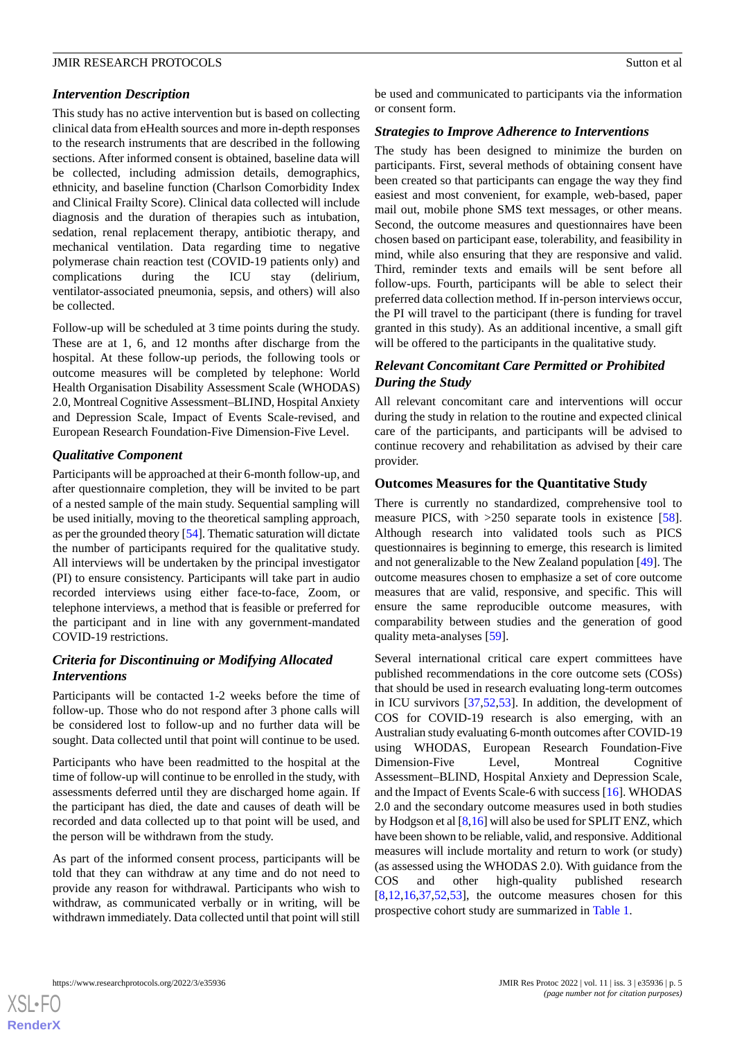# *Intervention Description*

This study has no active intervention but is based on collecting clinical data from eHealth sources and more in-depth responses to the research instruments that are described in the following sections. After informed consent is obtained, baseline data will be collected, including admission details, demographics, ethnicity, and baseline function (Charlson Comorbidity Index and Clinical Frailty Score). Clinical data collected will include diagnosis and the duration of therapies such as intubation, sedation, renal replacement therapy, antibiotic therapy, and mechanical ventilation. Data regarding time to negative polymerase chain reaction test (COVID-19 patients only) and complications during the ICU stay (delirium, ventilator-associated pneumonia, sepsis, and others) will also be collected.

Follow-up will be scheduled at 3 time points during the study. These are at 1, 6, and 12 months after discharge from the hospital. At these follow-up periods, the following tools or outcome measures will be completed by telephone: World Health Organisation Disability Assessment Scale (WHODAS) 2.0, Montreal Cognitive Assessment–BLIND, Hospital Anxiety and Depression Scale, Impact of Events Scale-revised, and European Research Foundation-Five Dimension-Five Level.

# *Qualitative Component*

Participants will be approached at their 6-month follow-up, and after questionnaire completion, they will be invited to be part of a nested sample of the main study. Sequential sampling will be used initially, moving to the theoretical sampling approach, as per the grounded theory [[54\]](#page-14-15). Thematic saturation will dictate the number of participants required for the qualitative study. All interviews will be undertaken by the principal investigator (PI) to ensure consistency. Participants will take part in audio recorded interviews using either face-to-face, Zoom, or telephone interviews, a method that is feasible or preferred for the participant and in line with any government-mandated COVID-19 restrictions.

# *Criteria for Discontinuing or Modifying Allocated Interventions*

Participants will be contacted 1-2 weeks before the time of follow-up. Those who do not respond after 3 phone calls will be considered lost to follow-up and no further data will be sought. Data collected until that point will continue to be used.

Participants who have been readmitted to the hospital at the time of follow-up will continue to be enrolled in the study, with assessments deferred until they are discharged home again. If the participant has died, the date and causes of death will be recorded and data collected up to that point will be used, and the person will be withdrawn from the study.

As part of the informed consent process, participants will be told that they can withdraw at any time and do not need to provide any reason for withdrawal. Participants who wish to withdraw, as communicated verbally or in writing, will be withdrawn immediately. Data collected until that point will still be used and communicated to participants via the information or consent form.

# *Strategies to Improve Adherence to Interventions*

The study has been designed to minimize the burden on participants. First, several methods of obtaining consent have been created so that participants can engage the way they find easiest and most convenient, for example, web-based, paper mail out, mobile phone SMS text messages, or other means. Second, the outcome measures and questionnaires have been chosen based on participant ease, tolerability, and feasibility in mind, while also ensuring that they are responsive and valid. Third, reminder texts and emails will be sent before all follow-ups. Fourth, participants will be able to select their preferred data collection method. If in-person interviews occur, the PI will travel to the participant (there is funding for travel granted in this study). As an additional incentive, a small gift will be offered to the participants in the qualitative study.

# *Relevant Concomitant Care Permitted or Prohibited During the Study*

All relevant concomitant care and interventions will occur during the study in relation to the routine and expected clinical care of the participants, and participants will be advised to continue recovery and rehabilitation as advised by their care provider.

# **Outcomes Measures for the Quantitative Study**

There is currently no standardized, comprehensive tool to measure PICS, with >250 separate tools in existence [[58\]](#page-14-19). Although research into validated tools such as PICS questionnaires is beginning to emerge, this research is limited and not generalizable to the New Zealand population [\[49](#page-14-10)]. The outcome measures chosen to emphasize a set of core outcome measures that are valid, responsive, and specific. This will ensure the same reproducible outcome measures, with comparability between studies and the generation of good quality meta-analyses [\[59](#page-14-20)].

Several international critical care expert committees have published recommendations in the core outcome sets (COSs) that should be used in research evaluating long-term outcomes in ICU survivors [\[37](#page-13-3),[52,](#page-14-13)[53](#page-14-14)]. In addition, the development of COS for COVID-19 research is also emerging, with an Australian study evaluating 6-month outcomes after COVID-19 using WHODAS, European Research Foundation-Five Dimension-Five Level, Montreal Cognitive Assessment–BLIND, Hospital Anxiety and Depression Scale, and the Impact of Events Scale-6 with success [\[16](#page-12-14)]. WHODAS 2.0 and the secondary outcome measures used in both studies by Hodgson et al [\[8](#page-12-7),[16\]](#page-12-14) will also be used for SPLIT ENZ, which have been shown to be reliable, valid, and responsive. Additional measures will include mortality and return to work (or study) (as assessed using the WHODAS 2.0). With guidance from the COS and other high-quality published research  $[8,12,16,37,52,53]$  $[8,12,16,37,52,53]$  $[8,12,16,37,52,53]$  $[8,12,16,37,52,53]$  $[8,12,16,37,52,53]$  $[8,12,16,37,52,53]$  $[8,12,16,37,52,53]$  $[8,12,16,37,52,53]$  $[8,12,16,37,52,53]$ , the outcome measures chosen for this prospective cohort study are summarized in [Table 1.](#page-5-0)

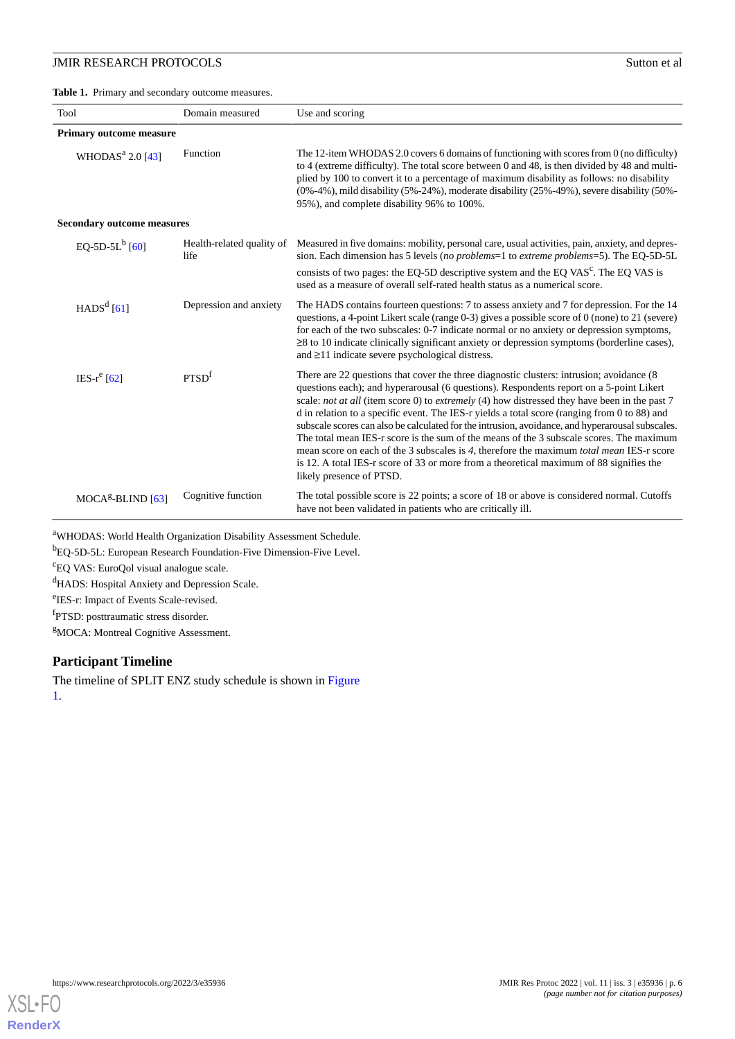<span id="page-5-0"></span>**Table 1.** Primary and secondary outcome measures.

| Tool                              | Domain measured                   | Use and scoring                                                                                                                                                                                                                                                                                                                                                                                                                                                                                                                                                                                                                                                                                                                                                                                                 |  |  |  |  |  |
|-----------------------------------|-----------------------------------|-----------------------------------------------------------------------------------------------------------------------------------------------------------------------------------------------------------------------------------------------------------------------------------------------------------------------------------------------------------------------------------------------------------------------------------------------------------------------------------------------------------------------------------------------------------------------------------------------------------------------------------------------------------------------------------------------------------------------------------------------------------------------------------------------------------------|--|--|--|--|--|
| <b>Primary outcome measure</b>    |                                   |                                                                                                                                                                                                                                                                                                                                                                                                                                                                                                                                                                                                                                                                                                                                                                                                                 |  |  |  |  |  |
| WHODAS <sup>a</sup> 2.0 [43]      | Function                          | The 12-item WHODAS 2.0 covers 6 domains of functioning with scores from 0 (no difficulty)<br>to 4 (extreme difficulty). The total score between 0 and 48, is then divided by 48 and multi-<br>plied by 100 to convert it to a percentage of maximum disability as follows: no disability<br>$(0\% -4\%)$ , mild disability $(5\% -24\%)$ , moderate disability $(25\% -49\%)$ , severe disability $(50\% -19\%)$<br>95%), and complete disability 96% to 100%.                                                                                                                                                                                                                                                                                                                                                  |  |  |  |  |  |
| <b>Secondary outcome measures</b> |                                   |                                                                                                                                                                                                                                                                                                                                                                                                                                                                                                                                                                                                                                                                                                                                                                                                                 |  |  |  |  |  |
| EQ-5D-5L $^{b}$ [60]              | Health-related quality of<br>life | Measured in five domains: mobility, personal care, usual activities, pain, anxiety, and depres-<br>sion. Each dimension has 5 levels (no problems=1 to extreme problems=5). The EQ-5D-5L<br>consists of two pages: the EQ-5D descriptive system and the EQ VAS <sup>c</sup> . The EQ VAS is<br>used as a measure of overall self-rated health status as a numerical score.                                                                                                                                                                                                                                                                                                                                                                                                                                      |  |  |  |  |  |
| $HADSd$ [61]                      | Depression and anxiety            | The HADS contains fourteen questions: 7 to assess anxiety and 7 for depression. For the 14<br>questions, a 4-point Likert scale (range 0-3) gives a possible score of 0 (none) to 21 (severe)<br>for each of the two subscales: 0-7 indicate normal or no anxiety or depression symptoms,<br>$\geq$ 8 to 10 indicate clinically significant anxiety or depression symptoms (borderline cases),<br>and $\geq$ 11 indicate severe psychological distress.                                                                                                                                                                                                                                                                                                                                                         |  |  |  |  |  |
| IES- $r^e$ [62]                   | PTSD <sup>f</sup>                 | There are 22 questions that cover the three diagnostic clusters: intrusion; avoidance (8)<br>questions each); and hyperarousal (6 questions). Respondents report on a 5-point Likert<br>scale: not at all (item score 0) to extremely (4) how distressed they have been in the past 7<br>d in relation to a specific event. The IES-r yields a total score (ranging from 0 to 88) and<br>subscale scores can also be calculated for the intrusion, avoidance, and hyperarousal subscales.<br>The total mean IES-r score is the sum of the means of the 3 subscale scores. The maximum<br>mean score on each of the 3 subscales is 4, therefore the maximum <i>total mean</i> IES-r score<br>is 12. A total IES-r score of 33 or more from a theoretical maximum of 88 signifies the<br>likely presence of PTSD. |  |  |  |  |  |
| $MOCAg-BLIND [63]$                | Cognitive function                | The total possible score is 22 points; a score of 18 or above is considered normal. Cutoffs<br>have not been validated in patients who are critically ill.                                                                                                                                                                                                                                                                                                                                                                                                                                                                                                                                                                                                                                                      |  |  |  |  |  |

<sup>a</sup>WHODAS: World Health Organization Disability Assessment Schedule.

<sup>b</sup>EQ-5D-5L: European Research Foundation-Five Dimension-Five Level.

<sup>c</sup>EQ VAS: EuroQol visual analogue scale.

<sup>d</sup>HADS: Hospital Anxiety and Depression Scale.

e IES-r: Impact of Events Scale-revised.

f PTSD: posttraumatic stress disorder.

<sup>g</sup>MOCA: Montreal Cognitive Assessment.

# **Participant Timeline**

The timeline of SPLIT ENZ study schedule is shown in [Figure](#page-6-0) [1.](#page-6-0)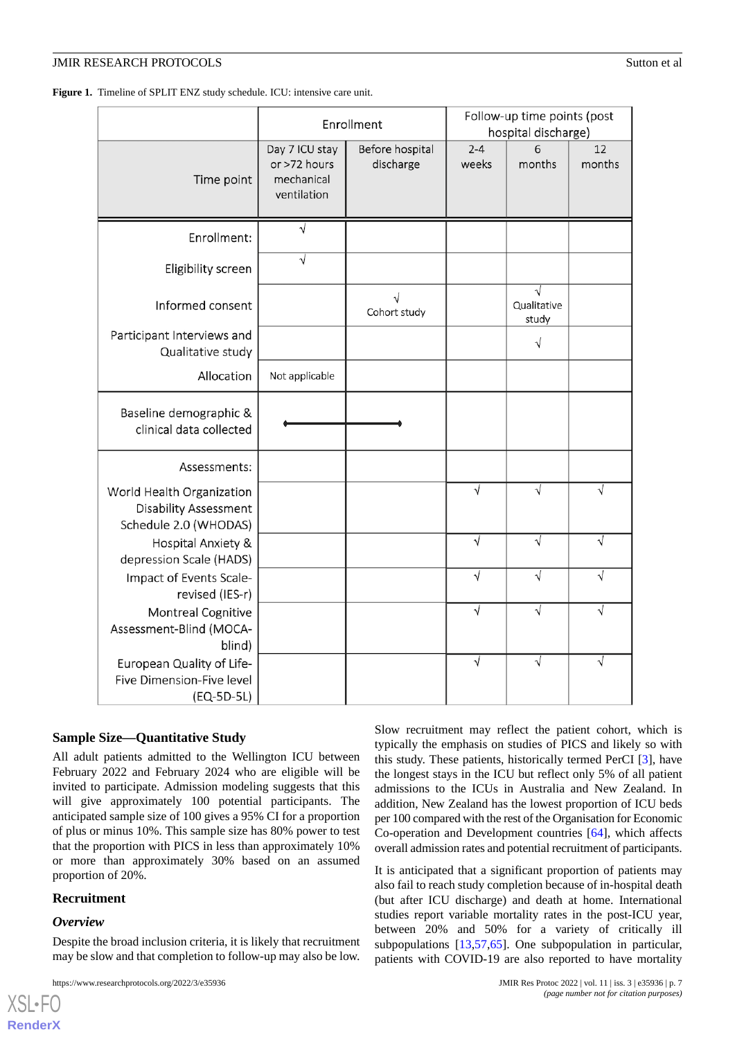<span id="page-6-0"></span>Figure 1. Timeline of SPLIT ENZ study schedule. ICU: intensive care unit.

|                                                                                    |                                                             | Enrollment                   | Follow-up time points (post<br>hospital discharge) |                           |              |
|------------------------------------------------------------------------------------|-------------------------------------------------------------|------------------------------|----------------------------------------------------|---------------------------|--------------|
| Time point                                                                         | Day 7 ICU stay<br>or >72 hours<br>mechanical<br>ventilation | Before hospital<br>discharge | $2 - 4$<br>weeks                                   | 6<br>months               | 12<br>months |
| Enrollment:                                                                        |                                                             |                              |                                                    |                           |              |
| Eligibility screen                                                                 | $\sqrt{}$                                                   |                              |                                                    |                           |              |
| Informed consent                                                                   |                                                             | Cohort study                 |                                                    | V<br>Qualitative<br>study |              |
| Participant Interviews and<br>Qualitative study                                    |                                                             |                              |                                                    | $\sqrt{}$                 |              |
| Allocation                                                                         | Not applicable                                              |                              |                                                    |                           |              |
| Baseline demographic &<br>clinical data collected                                  |                                                             |                              |                                                    |                           |              |
| Assessments:                                                                       |                                                             |                              |                                                    |                           |              |
| World Health Organization<br><b>Disability Assessment</b><br>Schedule 2.0 (WHODAS) |                                                             |                              | $\sqrt{}$                                          | $\sqrt{}$                 | √            |
| Hospital Anxiety &<br>depression Scale (HADS)                                      |                                                             |                              | $\overline{\sqrt{ }}$                              | $\sqrt{}$                 | $\sqrt{}$    |
| Impact of Events Scale-<br>revised (IES-r)                                         |                                                             |                              | $\sqrt{}$                                          | $\sqrt{}$                 | $\sqrt{}$    |
| Montreal Cognitive<br>Assessment-Blind (MOCA-<br>blind)                            |                                                             |                              | V                                                  | $\sqrt{}$                 | V            |
| European Quality of Life-<br>Five Dimension-Five level<br>(EQ-5D-5L)               |                                                             |                              | $\overline{\sqrt{ }}$                              | $\sqrt{}$                 | √            |

# **Sample Size—Quantitative Study**

All adult patients admitted to the Wellington ICU between February 2022 and February 2024 who are eligible will be invited to participate. Admission modeling suggests that this will give approximately 100 potential participants. The anticipated sample size of 100 gives a 95% CI for a proportion of plus or minus 10%. This sample size has 80% power to test that the proportion with PICS in less than approximately 10% or more than approximately 30% based on an assumed proportion of 20%.

# **Recruitment**

### *Overview*

 $XS$ l • FC **[RenderX](http://www.renderx.com/)**

Despite the broad inclusion criteria, it is likely that recruitment may be slow and that completion to follow-up may also be low.

Slow recruitment may reflect the patient cohort, which is typically the emphasis on studies of PICS and likely so with this study. These patients, historically termed PerCI [\[3](#page-12-2)], have the longest stays in the ICU but reflect only 5% of all patient admissions to the ICUs in Australia and New Zealand. In addition, New Zealand has the lowest proportion of ICU beds per 100 compared with the rest of the Organisation for Economic Co-operation and Development countries [[64\]](#page-15-2), which affects overall admission rates and potential recruitment of participants.

It is anticipated that a significant proportion of patients may also fail to reach study completion because of in-hospital death (but after ICU discharge) and death at home. International studies report variable mortality rates in the post-ICU year, between 20% and 50% for a variety of critically ill subpopulations [\[13](#page-12-11),[57,](#page-14-18)[65](#page-15-3)]. One subpopulation in particular, patients with COVID-19 are also reported to have mortality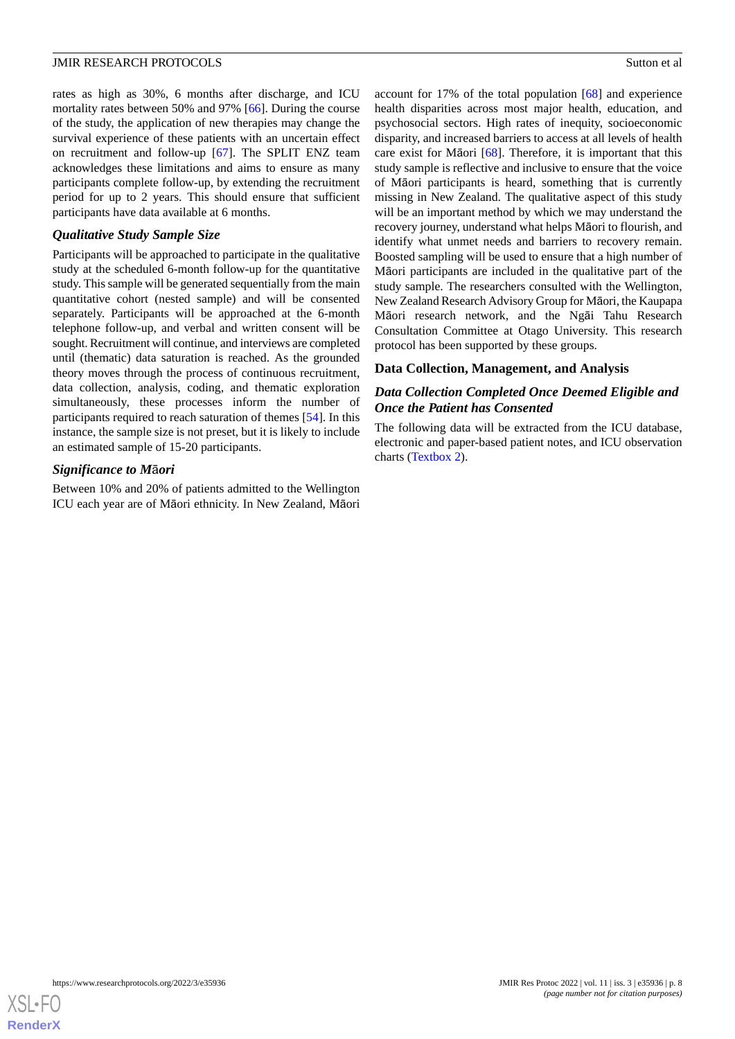rates as high as 30%, 6 months after discharge, and ICU mortality rates between 50% and 97% [\[66](#page-15-4)]. During the course of the study, the application of new therapies may change the survival experience of these patients with an uncertain effect on recruitment and follow-up [\[67](#page-15-5)]. The SPLIT ENZ team acknowledges these limitations and aims to ensure as many participants complete follow-up, by extending the recruitment period for up to 2 years. This should ensure that sufficient participants have data available at 6 months.

### *Qualitative Study Sample Size*

Participants will be approached to participate in the qualitative study at the scheduled 6-month follow-up for the quantitative study. This sample will be generated sequentially from the main quantitative cohort (nested sample) and will be consented separately. Participants will be approached at the 6-month telephone follow-up, and verbal and written consent will be sought. Recruitment will continue, and interviews are completed until (thematic) data saturation is reached. As the grounded theory moves through the process of continuous recruitment, data collection, analysis, coding, and thematic exploration simultaneously, these processes inform the number of participants required to reach saturation of themes [\[54](#page-14-15)]. In this instance, the sample size is not preset, but it is likely to include an estimated sample of 15-20 participants.

### *Significance to M*ā*ori*

Between 10% and 20% of patients admitted to the Wellington ICU each year are of Māori ethnicity. In New Zealand, Māori

account for 17% of the total population [[68\]](#page-15-6) and experience health disparities across most major health, education, and psychosocial sectors. High rates of inequity, socioeconomic disparity, and increased barriers to access at all levels of health care exist for Māori [\[68](#page-15-6)]. Therefore, it is important that this study sample is reflective and inclusive to ensure that the voice of Māori participants is heard, something that is currently missing in New Zealand. The qualitative aspect of this study will be an important method by which we may understand the recovery journey, understand what helps Māori to flourish, and identify what unmet needs and barriers to recovery remain. Boosted sampling will be used to ensure that a high number of Māori participants are included in the qualitative part of the study sample. The researchers consulted with the Wellington, New Zealand Research Advisory Group for Māori, the Kaupapa Māori research network, and the Ngāi Tahu Research Consultation Committee at Otago University. This research protocol has been supported by these groups.

#### **Data Collection, Management, and Analysis**

# *Data Collection Completed Once Deemed Eligible and Once the Patient has Consented*

The following data will be extracted from the ICU database, electronic and paper-based patient notes, and ICU observation charts [\(Textbox 2](#page-8-0)).

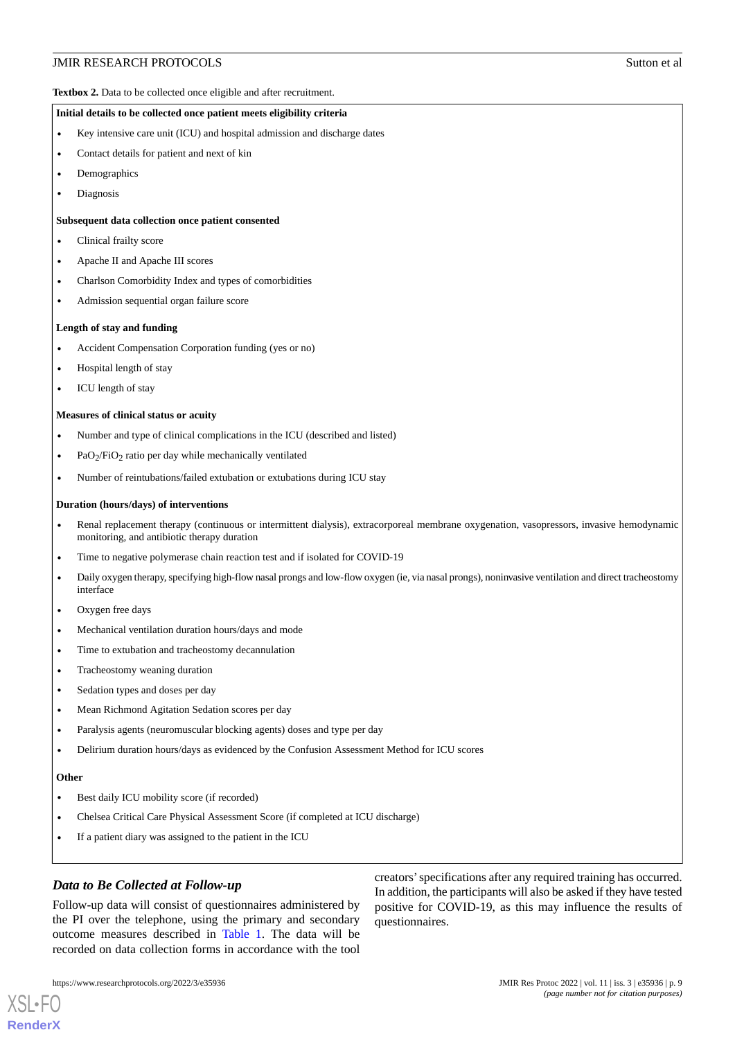<span id="page-8-0"></span>**Textbox 2.** Data to be collected once eligible and after recruitment.

#### **Initial details to be collected once patient meets eligibility criteria**

- Key intensive care unit (ICU) and hospital admission and discharge dates
- Contact details for patient and next of kin
- Demographics
- Diagnosis

#### **Subsequent data collection once patient consented**

- Clinical frailty score
- Apache II and Apache III scores
- Charlson Comorbidity Index and types of comorbidities
- Admission sequential organ failure score

#### **Length of stay and funding**

- Accident Compensation Corporation funding (yes or no)
- Hospital length of stay
- ICU length of stay

#### **Measures of clinical status or acuity**

- Number and type of clinical complications in the ICU (described and listed)
- PaO<sub>2</sub>/FiO<sub>2</sub> ratio per day while mechanically ventilated
- Number of reintubations/failed extubation or extubations during ICU stay

#### **Duration (hours/days) of interventions**

- Renal replacement therapy (continuous or intermittent dialysis), extracorporeal membrane oxygenation, vasopressors, invasive hemodynamic monitoring, and antibiotic therapy duration
- Time to negative polymerase chain reaction test and if isolated for COVID-19
- Daily oxygen therapy, specifying high-flow nasal prongs and low-flow oxygen (ie, via nasal prongs), noninvasive ventilation and direct tracheostomy interface
- Oxygen free days
- Mechanical ventilation duration hours/days and mode
- Time to extubation and tracheostomy decannulation
- Tracheostomy weaning duration
- Sedation types and doses per day
- Mean Richmond Agitation Sedation scores per day
- Paralysis agents (neuromuscular blocking agents) doses and type per day
- Delirium duration hours/days as evidenced by the Confusion Assessment Method for ICU scores

#### **Other**

[XSL](http://www.w3.org/Style/XSL)•FO **[RenderX](http://www.renderx.com/)**

- Best daily ICU mobility score (if recorded)
- Chelsea Critical Care Physical Assessment Score (if completed at ICU discharge)
- If a patient diary was assigned to the patient in the ICU

# *Data to Be Collected at Follow-up*

Follow-up data will consist of questionnaires administered by the PI over the telephone, using the primary and secondary outcome measures described in [Table 1](#page-5-0). The data will be recorded on data collection forms in accordance with the tool

creators'specifications after any required training has occurred. In addition, the participants will also be asked if they have tested positive for COVID-19, as this may influence the results of questionnaires.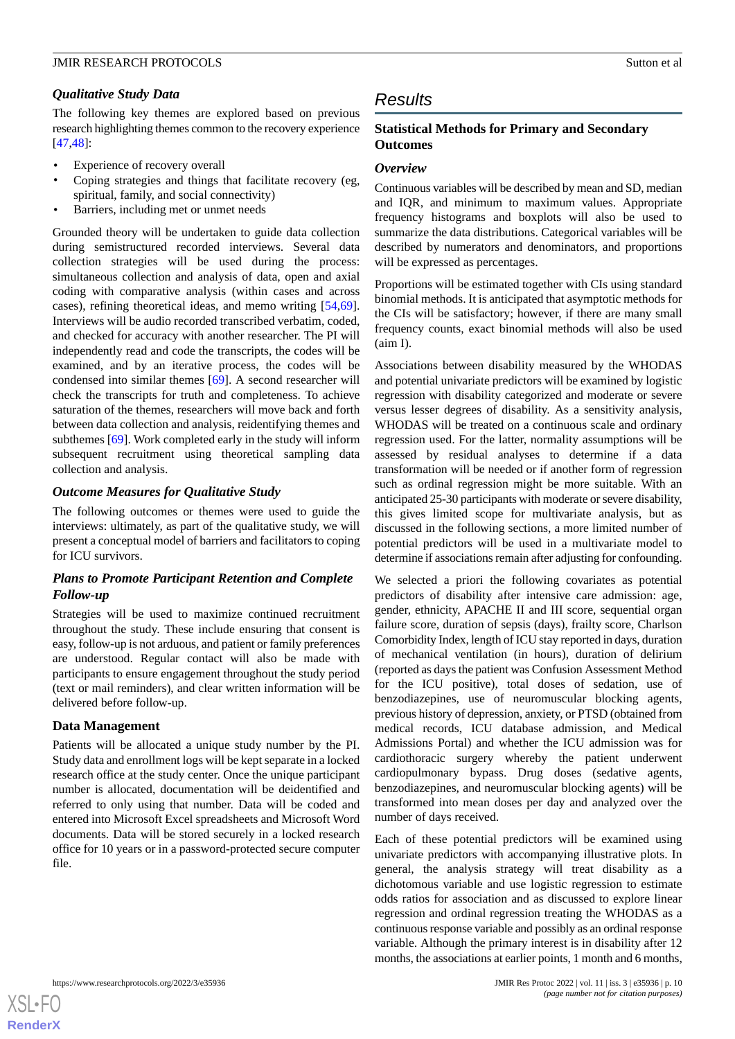# *Qualitative Study Data*

The following key themes are explored based on previous research highlighting themes common to the recovery experience [[47](#page-14-8)[,48](#page-14-9)]:

- Experience of recovery overall
- Coping strategies and things that facilitate recovery (eg, spiritual, family, and social connectivity)
- Barriers, including met or unmet needs

Grounded theory will be undertaken to guide data collection during semistructured recorded interviews. Several data collection strategies will be used during the process: simultaneous collection and analysis of data, open and axial coding with comparative analysis (within cases and across cases), refining theoretical ideas, and memo writing [\[54](#page-14-15),[69\]](#page-15-7). Interviews will be audio recorded transcribed verbatim, coded, and checked for accuracy with another researcher. The PI will independently read and code the transcripts, the codes will be examined, and by an iterative process, the codes will be condensed into similar themes [[69\]](#page-15-7). A second researcher will check the transcripts for truth and completeness. To achieve saturation of the themes, researchers will move back and forth between data collection and analysis, reidentifying themes and subthemes [\[69](#page-15-7)]. Work completed early in the study will inform subsequent recruitment using theoretical sampling data collection and analysis.

# *Outcome Measures for Qualitative Study*

The following outcomes or themes were used to guide the interviews: ultimately, as part of the qualitative study, we will present a conceptual model of barriers and facilitators to coping for ICU survivors.

# *Plans to Promote Participant Retention and Complete Follow-up*

Strategies will be used to maximize continued recruitment throughout the study. These include ensuring that consent is easy, follow-up is not arduous, and patient or family preferences are understood. Regular contact will also be made with participants to ensure engagement throughout the study period (text or mail reminders), and clear written information will be delivered before follow-up.

# **Data Management**

Patients will be allocated a unique study number by the PI. Study data and enrollment logs will be kept separate in a locked research office at the study center. Once the unique participant number is allocated, documentation will be deidentified and referred to only using that number. Data will be coded and entered into Microsoft Excel spreadsheets and Microsoft Word documents. Data will be stored securely in a locked research office for 10 years or in a password-protected secure computer file.

# *Results*

# **Statistical Methods for Primary and Secondary Outcomes**

# *Overview*

Continuous variables will be described by mean and SD, median and IQR, and minimum to maximum values. Appropriate frequency histograms and boxplots will also be used to summarize the data distributions. Categorical variables will be described by numerators and denominators, and proportions will be expressed as percentages.

Proportions will be estimated together with CIs using standard binomial methods. It is anticipated that asymptotic methods for the CIs will be satisfactory; however, if there are many small frequency counts, exact binomial methods will also be used (aim I).

Associations between disability measured by the WHODAS and potential univariate predictors will be examined by logistic regression with disability categorized and moderate or severe versus lesser degrees of disability. As a sensitivity analysis, WHODAS will be treated on a continuous scale and ordinary regression used. For the latter, normality assumptions will be assessed by residual analyses to determine if a data transformation will be needed or if another form of regression such as ordinal regression might be more suitable. With an anticipated 25-30 participants with moderate or severe disability, this gives limited scope for multivariate analysis, but as discussed in the following sections, a more limited number of potential predictors will be used in a multivariate model to determine if associations remain after adjusting for confounding.

We selected a priori the following covariates as potential predictors of disability after intensive care admission: age, gender, ethnicity, APACHE II and III score, sequential organ failure score, duration of sepsis (days), frailty score, Charlson Comorbidity Index, length of ICU stay reported in days, duration of mechanical ventilation (in hours), duration of delirium (reported as days the patient was Confusion Assessment Method for the ICU positive), total doses of sedation, use of benzodiazepines, use of neuromuscular blocking agents, previous history of depression, anxiety, or PTSD (obtained from medical records, ICU database admission, and Medical Admissions Portal) and whether the ICU admission was for cardiothoracic surgery whereby the patient underwent cardiopulmonary bypass. Drug doses (sedative agents, benzodiazepines, and neuromuscular blocking agents) will be transformed into mean doses per day and analyzed over the number of days received.

Each of these potential predictors will be examined using univariate predictors with accompanying illustrative plots. In general, the analysis strategy will treat disability as a dichotomous variable and use logistic regression to estimate odds ratios for association and as discussed to explore linear regression and ordinal regression treating the WHODAS as a continuous response variable and possibly as an ordinal response variable. Although the primary interest is in disability after 12 months, the associations at earlier points, 1 month and 6 months,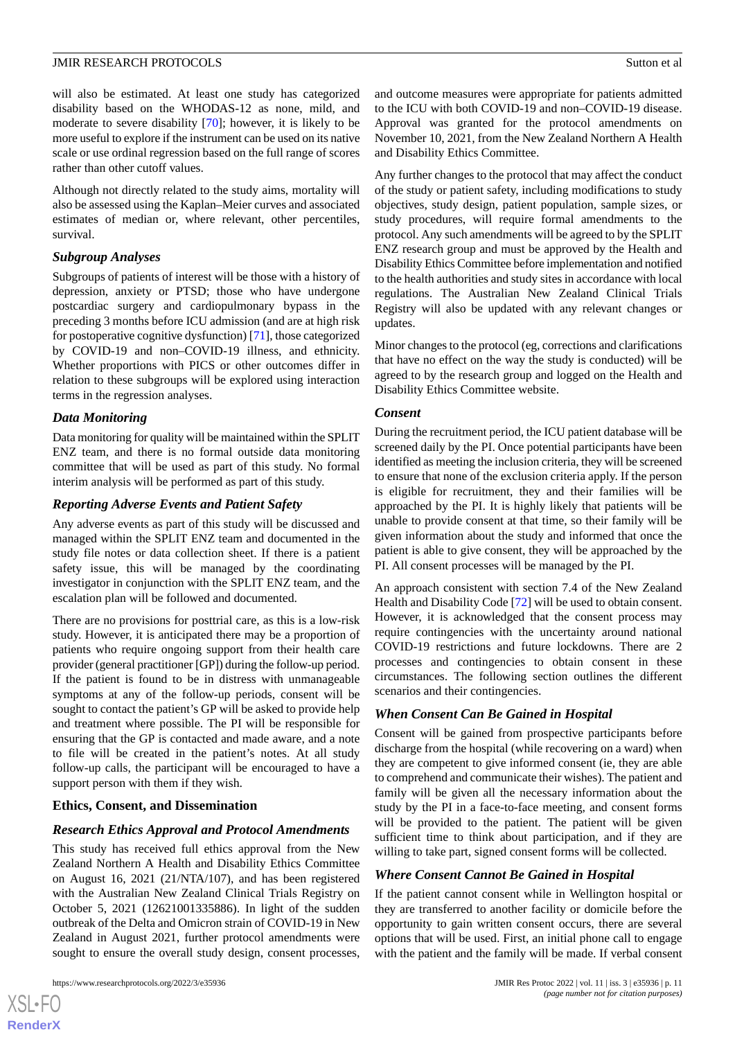will also be estimated. At least one study has categorized disability based on the WHODAS-12 as none, mild, and moderate to severe disability [[70\]](#page-15-8); however, it is likely to be more useful to explore if the instrument can be used on its native scale or use ordinal regression based on the full range of scores rather than other cutoff values.

Although not directly related to the study aims, mortality will also be assessed using the Kaplan–Meier curves and associated estimates of median or, where relevant, other percentiles, survival.

### *Subgroup Analyses*

Subgroups of patients of interest will be those with a history of depression, anxiety or PTSD; those who have undergone postcardiac surgery and cardiopulmonary bypass in the preceding 3 months before ICU admission (and are at high risk for postoperative cognitive dysfunction) [\[71](#page-15-9)], those categorized by COVID-19 and non–COVID-19 illness, and ethnicity. Whether proportions with PICS or other outcomes differ in relation to these subgroups will be explored using interaction terms in the regression analyses.

# *Data Monitoring*

Data monitoring for quality will be maintained within the SPLIT ENZ team, and there is no formal outside data monitoring committee that will be used as part of this study. No formal interim analysis will be performed as part of this study.

# *Reporting Adverse Events and Patient Safety*

Any adverse events as part of this study will be discussed and managed within the SPLIT ENZ team and documented in the study file notes or data collection sheet. If there is a patient safety issue, this will be managed by the coordinating investigator in conjunction with the SPLIT ENZ team, and the escalation plan will be followed and documented.

There are no provisions for posttrial care, as this is a low-risk study. However, it is anticipated there may be a proportion of patients who require ongoing support from their health care provider (general practitioner [GP]) during the follow-up period. If the patient is found to be in distress with unmanageable symptoms at any of the follow-up periods, consent will be sought to contact the patient's GP will be asked to provide help and treatment where possible. The PI will be responsible for ensuring that the GP is contacted and made aware, and a note to file will be created in the patient's notes. At all study follow-up calls, the participant will be encouraged to have a support person with them if they wish.

# **Ethics, Consent, and Dissemination**

# *Research Ethics Approval and Protocol Amendments*

This study has received full ethics approval from the New Zealand Northern A Health and Disability Ethics Committee on August 16, 2021 (21/NTA/107), and has been registered with the Australian New Zealand Clinical Trials Registry on October 5, 2021 (12621001335886). In light of the sudden outbreak of the Delta and Omicron strain of COVID-19 in New Zealand in August 2021, further protocol amendments were sought to ensure the overall study design, consent processes,

 $XS$  $\cdot$ FC **[RenderX](http://www.renderx.com/)** and outcome measures were appropriate for patients admitted to the ICU with both COVID-19 and non–COVID-19 disease. Approval was granted for the protocol amendments on November 10, 2021, from the New Zealand Northern A Health and Disability Ethics Committee.

Any further changes to the protocol that may affect the conduct of the study or patient safety, including modifications to study objectives, study design, patient population, sample sizes, or study procedures, will require formal amendments to the protocol. Any such amendments will be agreed to by the SPLIT ENZ research group and must be approved by the Health and Disability Ethics Committee before implementation and notified to the health authorities and study sites in accordance with local regulations. The Australian New Zealand Clinical Trials Registry will also be updated with any relevant changes or updates.

Minor changes to the protocol (eg, corrections and clarifications that have no effect on the way the study is conducted) will be agreed to by the research group and logged on the Health and Disability Ethics Committee website.

### *Consent*

During the recruitment period, the ICU patient database will be screened daily by the PI. Once potential participants have been identified as meeting the inclusion criteria, they will be screened to ensure that none of the exclusion criteria apply. If the person is eligible for recruitment, they and their families will be approached by the PI. It is highly likely that patients will be unable to provide consent at that time, so their family will be given information about the study and informed that once the patient is able to give consent, they will be approached by the PI. All consent processes will be managed by the PI.

An approach consistent with section 7.4 of the New Zealand Health and Disability Code [\[72](#page-15-10)] will be used to obtain consent. However, it is acknowledged that the consent process may require contingencies with the uncertainty around national COVID-19 restrictions and future lockdowns. There are 2 processes and contingencies to obtain consent in these circumstances. The following section outlines the different scenarios and their contingencies.

# *When Consent Can Be Gained in Hospital*

Consent will be gained from prospective participants before discharge from the hospital (while recovering on a ward) when they are competent to give informed consent (ie, they are able to comprehend and communicate their wishes). The patient and family will be given all the necessary information about the study by the PI in a face-to-face meeting, and consent forms will be provided to the patient. The patient will be given sufficient time to think about participation, and if they are willing to take part, signed consent forms will be collected.

# *Where Consent Cannot Be Gained in Hospital*

If the patient cannot consent while in Wellington hospital or they are transferred to another facility or domicile before the opportunity to gain written consent occurs, there are several options that will be used. First, an initial phone call to engage with the patient and the family will be made. If verbal consent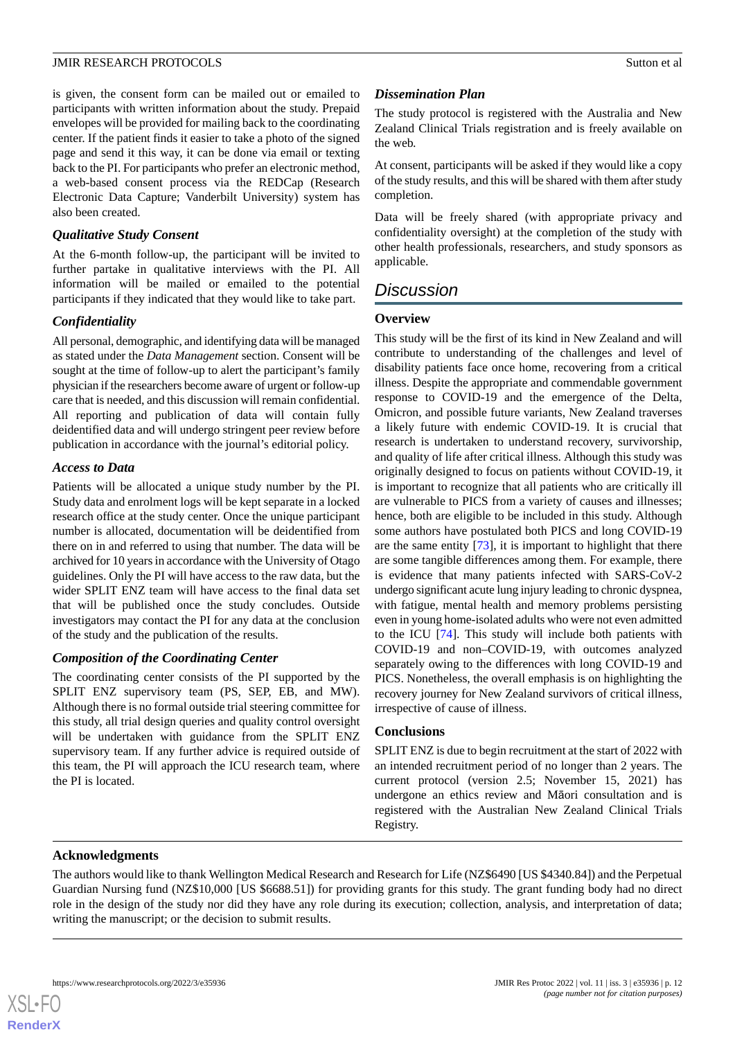is given, the consent form can be mailed out or emailed to participants with written information about the study. Prepaid envelopes will be provided for mailing back to the coordinating center. If the patient finds it easier to take a photo of the signed page and send it this way, it can be done via email or texting back to the PI. For participants who prefer an electronic method, a web-based consent process via the REDCap (Research Electronic Data Capture; Vanderbilt University) system has also been created.

# *Qualitative Study Consent*

At the 6-month follow-up, the participant will be invited to further partake in qualitative interviews with the PI. All information will be mailed or emailed to the potential participants if they indicated that they would like to take part.

# *Confidentiality*

All personal, demographic, and identifying data will be managed as stated under the *Data Management* section. Consent will be sought at the time of follow-up to alert the participant's family physician if the researchers become aware of urgent or follow-up care that is needed, and this discussion will remain confidential. All reporting and publication of data will contain fully deidentified data and will undergo stringent peer review before publication in accordance with the journal's editorial policy.

### *Access to Data*

Patients will be allocated a unique study number by the PI. Study data and enrolment logs will be kept separate in a locked research office at the study center. Once the unique participant number is allocated, documentation will be deidentified from there on in and referred to using that number. The data will be archived for 10 years in accordance with the University of Otago guidelines. Only the PI will have access to the raw data, but the wider SPLIT ENZ team will have access to the final data set that will be published once the study concludes. Outside investigators may contact the PI for any data at the conclusion of the study and the publication of the results.

# *Composition of the Coordinating Center*

The coordinating center consists of the PI supported by the SPLIT ENZ supervisory team (PS, SEP, EB, and MW). Although there is no formal outside trial steering committee for this study, all trial design queries and quality control oversight will be undertaken with guidance from the SPLIT ENZ supervisory team. If any further advice is required outside of this team, the PI will approach the ICU research team, where the PI is located.

# *Dissemination Plan*

The study protocol is registered with the Australia and New Zealand Clinical Trials registration and is freely available on the web.

At consent, participants will be asked if they would like a copy of the study results, and this will be shared with them after study completion.

Data will be freely shared (with appropriate privacy and confidentiality oversight) at the completion of the study with other health professionals, researchers, and study sponsors as applicable.

# *Discussion*

# **Overview**

This study will be the first of its kind in New Zealand and will contribute to understanding of the challenges and level of disability patients face once home, recovering from a critical illness. Despite the appropriate and commendable government response to COVID-19 and the emergence of the Delta, Omicron, and possible future variants, New Zealand traverses a likely future with endemic COVID-19. It is crucial that research is undertaken to understand recovery, survivorship, and quality of life after critical illness. Although this study was originally designed to focus on patients without COVID-19, it is important to recognize that all patients who are critically ill are vulnerable to PICS from a variety of causes and illnesses; hence, both are eligible to be included in this study. Although some authors have postulated both PICS and long COVID-19 are the same entity [\[73](#page-15-11)], it is important to highlight that there are some tangible differences among them. For example, there is evidence that many patients infected with SARS-CoV-2 undergo significant acute lung injury leading to chronic dyspnea, with fatigue, mental health and memory problems persisting even in young home-isolated adults who were not even admitted to the ICU [[74\]](#page-15-12). This study will include both patients with COVID-19 and non–COVID-19, with outcomes analyzed separately owing to the differences with long COVID-19 and PICS. Nonetheless, the overall emphasis is on highlighting the recovery journey for New Zealand survivors of critical illness, irrespective of cause of illness.

# **Conclusions**

SPLIT ENZ is due to begin recruitment at the start of 2022 with an intended recruitment period of no longer than 2 years. The current protocol (version 2.5; November 15, 2021) has undergone an ethics review and Māori consultation and is registered with the Australian New Zealand Clinical Trials Registry.

### **Acknowledgments**

The authors would like to thank Wellington Medical Research and Research for Life (NZ\$6490 [US \$4340.84]) and the Perpetual Guardian Nursing fund (NZ\$10,000 [US \$6688.51]) for providing grants for this study. The grant funding body had no direct role in the design of the study nor did they have any role during its execution; collection, analysis, and interpretation of data; writing the manuscript; or the decision to submit results.

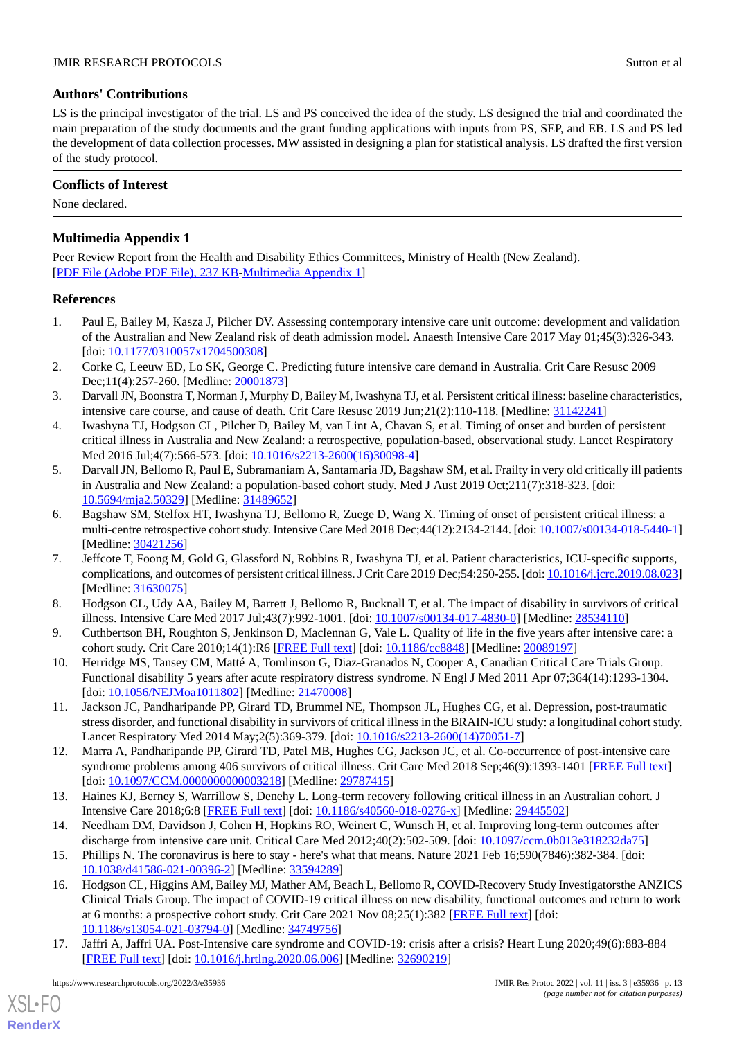# **Authors' Contributions**

LS is the principal investigator of the trial. LS and PS conceived the idea of the study. LS designed the trial and coordinated the main preparation of the study documents and the grant funding applications with inputs from PS, SEP, and EB. LS and PS led the development of data collection processes. MW assisted in designing a plan for statistical analysis. LS drafted the first version of the study protocol.

# **Conflicts of Interest**

None declared.

# **Multimedia Appendix 1**

Peer Review Report from the Health and Disability Ethics Committees, Ministry of Health (New Zealand). [[PDF File \(Adobe PDF File\), 237 KB](https://jmir.org/api/download?alt_name=resprot_v11i3e35936_app1.pdf&filename=f3e3736d99596b6c718154a60c9124a5.pdf)-[Multimedia Appendix 1\]](https://jmir.org/api/download?alt_name=resprot_v11i3e35936_app1.pdf&filename=f3e3736d99596b6c718154a60c9124a5.pdf)

# <span id="page-12-0"></span>**References**

- <span id="page-12-1"></span>1. Paul E, Bailey M, Kasza J, Pilcher DV. Assessing contemporary intensive care unit outcome: development and validation of the Australian and New Zealand risk of death admission model. Anaesth Intensive Care 2017 May 01;45(3):326-343. [doi: [10.1177/0310057x1704500308](http://dx.doi.org/10.1177/0310057x1704500308)]
- <span id="page-12-2"></span>2. Corke C, Leeuw ED, Lo SK, George C. Predicting future intensive care demand in Australia. Crit Care Resusc 2009 Dec;11(4):257-260. [Medline: [20001873](http://www.ncbi.nlm.nih.gov/entrez/query.fcgi?cmd=Retrieve&db=PubMed&list_uids=20001873&dopt=Abstract)]
- <span id="page-12-3"></span>3. Darvall JN, Boonstra T, Norman J, Murphy D, Bailey M, Iwashyna TJ, et al. Persistent critical illness: baseline characteristics, intensive care course, and cause of death. Crit Care Resusc 2019 Jun;21(2):110-118. [Medline: [31142241](http://www.ncbi.nlm.nih.gov/entrez/query.fcgi?cmd=Retrieve&db=PubMed&list_uids=31142241&dopt=Abstract)]
- <span id="page-12-4"></span>4. Iwashyna TJ, Hodgson CL, Pilcher D, Bailey M, van Lint A, Chavan S, et al. Timing of onset and burden of persistent critical illness in Australia and New Zealand: a retrospective, population-based, observational study. Lancet Respiratory Med 2016 Jul;4(7):566-573. [doi: [10.1016/s2213-2600\(16\)30098-4\]](http://dx.doi.org/10.1016/s2213-2600(16)30098-4)
- <span id="page-12-5"></span>5. Darvall JN, Bellomo R, Paul E, Subramaniam A, Santamaria JD, Bagshaw SM, et al. Frailty in very old critically ill patients in Australia and New Zealand: a population-based cohort study. Med J Aust 2019 Oct;211(7):318-323. [doi: [10.5694/mja2.50329](http://dx.doi.org/10.5694/mja2.50329)] [Medline: [31489652](http://www.ncbi.nlm.nih.gov/entrez/query.fcgi?cmd=Retrieve&db=PubMed&list_uids=31489652&dopt=Abstract)]
- <span id="page-12-6"></span>6. Bagshaw SM, Stelfox HT, Iwashyna TJ, Bellomo R, Zuege D, Wang X. Timing of onset of persistent critical illness: a multi-centre retrospective cohort study. Intensive Care Med 2018 Dec; 44(12): 2134-2144. [doi: [10.1007/s00134-018-5440-1\]](http://dx.doi.org/10.1007/s00134-018-5440-1) [Medline: [30421256](http://www.ncbi.nlm.nih.gov/entrez/query.fcgi?cmd=Retrieve&db=PubMed&list_uids=30421256&dopt=Abstract)]
- <span id="page-12-8"></span><span id="page-12-7"></span>7. Jeffcote T, Foong M, Gold G, Glassford N, Robbins R, Iwashyna TJ, et al. Patient characteristics, ICU-specific supports, complications, and outcomes of persistent critical illness. J Crit Care 2019 Dec;54:250-255. [doi: [10.1016/j.jcrc.2019.08.023\]](http://dx.doi.org/10.1016/j.jcrc.2019.08.023) [Medline: [31630075](http://www.ncbi.nlm.nih.gov/entrez/query.fcgi?cmd=Retrieve&db=PubMed&list_uids=31630075&dopt=Abstract)]
- <span id="page-12-9"></span>8. Hodgson CL, Udy AA, Bailey M, Barrett J, Bellomo R, Bucknall T, et al. The impact of disability in survivors of critical illness. Intensive Care Med 2017 Jul;43(7):992-1001. [doi: [10.1007/s00134-017-4830-0](http://dx.doi.org/10.1007/s00134-017-4830-0)] [Medline: [28534110](http://www.ncbi.nlm.nih.gov/entrez/query.fcgi?cmd=Retrieve&db=PubMed&list_uids=28534110&dopt=Abstract)]
- <span id="page-12-10"></span>9. Cuthbertson BH, Roughton S, Jenkinson D, Maclennan G, Vale L. Quality of life in the five years after intensive care: a cohort study. Crit Care 2010;14(1):R6 [[FREE Full text](https://ccforum.biomedcentral.com/articles/10.1186/cc8848)] [doi: [10.1186/cc8848](http://dx.doi.org/10.1186/cc8848)] [Medline: [20089197](http://www.ncbi.nlm.nih.gov/entrez/query.fcgi?cmd=Retrieve&db=PubMed&list_uids=20089197&dopt=Abstract)]
- <span id="page-12-16"></span>10. Herridge MS, Tansey CM, Matté A, Tomlinson G, Diaz-Granados N, Cooper A, Canadian Critical Care Trials Group. Functional disability 5 years after acute respiratory distress syndrome. N Engl J Med 2011 Apr 07;364(14):1293-1304. [doi: [10.1056/NEJMoa1011802\]](http://dx.doi.org/10.1056/NEJMoa1011802) [Medline: [21470008\]](http://www.ncbi.nlm.nih.gov/entrez/query.fcgi?cmd=Retrieve&db=PubMed&list_uids=21470008&dopt=Abstract)
- <span id="page-12-11"></span>11. Jackson JC, Pandharipande PP, Girard TD, Brummel NE, Thompson JL, Hughes CG, et al. Depression, post-traumatic stress disorder, and functional disability in survivors of critical illness in the BRAIN-ICU study: a longitudinal cohort study. Lancet Respiratory Med 2014 May;2(5):369-379. [doi: [10.1016/s2213-2600\(14\)70051-7\]](http://dx.doi.org/10.1016/s2213-2600(14)70051-7)
- <span id="page-12-13"></span><span id="page-12-12"></span>12. Marra A, Pandharipande PP, Girard TD, Patel MB, Hughes CG, Jackson JC, et al. Co-occurrence of post-intensive care syndrome problems among 406 survivors of critical illness. Crit Care Med 2018 Sep;46(9):1393-1401 [\[FREE Full text\]](http://europepmc.org/abstract/MED/29787415) [doi: [10.1097/CCM.0000000000003218\]](http://dx.doi.org/10.1097/CCM.0000000000003218) [Medline: [29787415\]](http://www.ncbi.nlm.nih.gov/entrez/query.fcgi?cmd=Retrieve&db=PubMed&list_uids=29787415&dopt=Abstract)
- <span id="page-12-14"></span>13. Haines KJ, Berney S, Warrillow S, Denehy L. Long-term recovery following critical illness in an Australian cohort. J Intensive Care 2018;6:8 [\[FREE Full text](https://jintensivecare.biomedcentral.com/articles/10.1186/s40560-018-0276-x)] [doi: [10.1186/s40560-018-0276-x\]](http://dx.doi.org/10.1186/s40560-018-0276-x) [Medline: [29445502\]](http://www.ncbi.nlm.nih.gov/entrez/query.fcgi?cmd=Retrieve&db=PubMed&list_uids=29445502&dopt=Abstract)
- 14. Needham DM, Davidson J, Cohen H, Hopkins RO, Weinert C, Wunsch H, et al. Improving long-term outcomes after discharge from intensive care unit. Critical Care Med 2012;40(2):502-509. [doi: [10.1097/ccm.0b013e318232da75\]](http://dx.doi.org/10.1097/ccm.0b013e318232da75)
- <span id="page-12-15"></span>15. Phillips N. The coronavirus is here to stay - here's what that means. Nature 2021 Feb 16;590(7846):382-384. [doi: [10.1038/d41586-021-00396-2\]](http://dx.doi.org/10.1038/d41586-021-00396-2) [Medline: [33594289\]](http://www.ncbi.nlm.nih.gov/entrez/query.fcgi?cmd=Retrieve&db=PubMed&list_uids=33594289&dopt=Abstract)
- 16. Hodgson CL, Higgins AM, Bailey MJ, Mather AM, Beach L, Bellomo R, COVID-Recovery Study Investigatorsthe ANZICS Clinical Trials Group. The impact of COVID-19 critical illness on new disability, functional outcomes and return to work at 6 months: a prospective cohort study. Crit Care 2021 Nov 08;25(1):382 [\[FREE Full text\]](https://ccforum.biomedcentral.com/articles/10.1186/s13054-021-03794-0) [doi: [10.1186/s13054-021-03794-0\]](http://dx.doi.org/10.1186/s13054-021-03794-0) [Medline: [34749756\]](http://www.ncbi.nlm.nih.gov/entrez/query.fcgi?cmd=Retrieve&db=PubMed&list_uids=34749756&dopt=Abstract)
- 17. Jaffri A, Jaffri UA. Post-Intensive care syndrome and COVID-19: crisis after a crisis? Heart Lung 2020;49(6):883-884 [[FREE Full text](http://europepmc.org/abstract/MED/32690219)] [doi: [10.1016/j.hrtlng.2020.06.006](http://dx.doi.org/10.1016/j.hrtlng.2020.06.006)] [Medline: [32690219](http://www.ncbi.nlm.nih.gov/entrez/query.fcgi?cmd=Retrieve&db=PubMed&list_uids=32690219&dopt=Abstract)]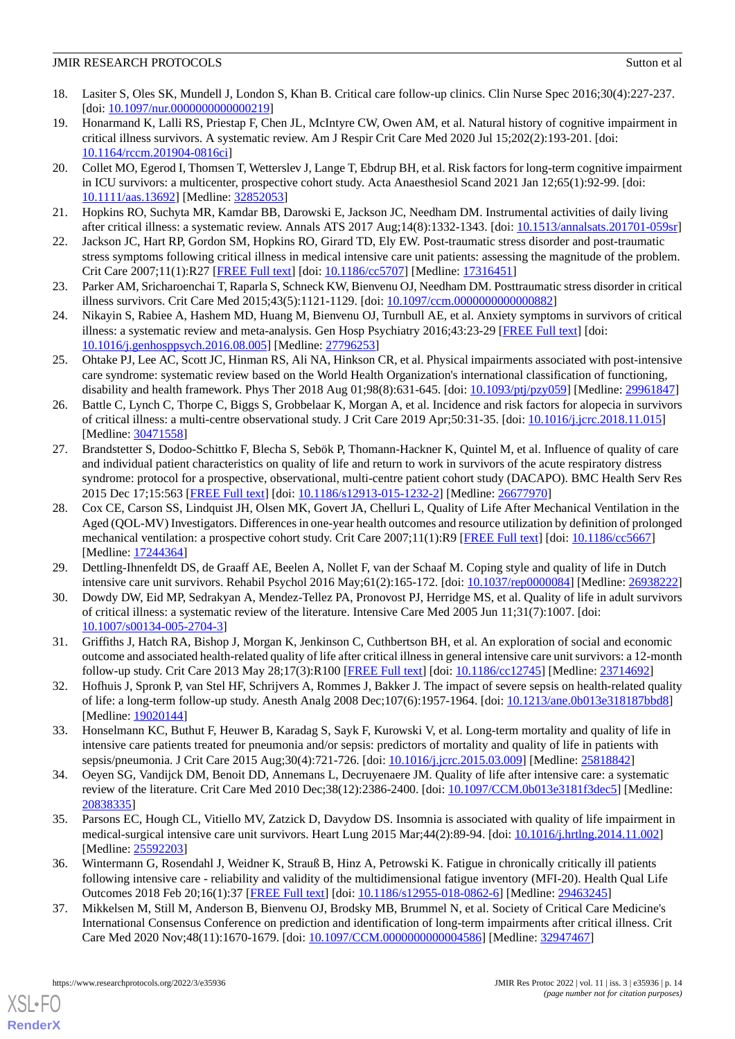- <span id="page-13-0"></span>18. Lasiter S, Oles SK, Mundell J, London S, Khan B. Critical care follow-up clinics. Clin Nurse Spec 2016;30(4):227-237. [doi: [10.1097/nur.0000000000000219](http://dx.doi.org/10.1097/nur.0000000000000219)]
- <span id="page-13-1"></span>19. Honarmand K, Lalli RS, Priestap F, Chen JL, McIntyre CW, Owen AM, et al. Natural history of cognitive impairment in critical illness survivors. A systematic review. Am J Respir Crit Care Med 2020 Jul 15;202(2):193-201. [doi: [10.1164/rccm.201904-0816ci\]](http://dx.doi.org/10.1164/rccm.201904-0816ci)
- 20. Collet MO, Egerod I, Thomsen T, Wetterslev J, Lange T, Ebdrup BH, et al. Risk factors for long-term cognitive impairment in ICU survivors: a multicenter, prospective cohort study. Acta Anaesthesiol Scand 2021 Jan 12;65(1):92-99. [doi: [10.1111/aas.13692](http://dx.doi.org/10.1111/aas.13692)] [Medline: [32852053\]](http://www.ncbi.nlm.nih.gov/entrez/query.fcgi?cmd=Retrieve&db=PubMed&list_uids=32852053&dopt=Abstract)
- <span id="page-13-4"></span>21. Hopkins RO, Suchyta MR, Kamdar BB, Darowski E, Jackson JC, Needham DM. Instrumental activities of daily living after critical illness: a systematic review. Annals ATS 2017 Aug;14(8):1332-1343. [doi: [10.1513/annalsats.201701-059sr\]](http://dx.doi.org/10.1513/annalsats.201701-059sr)
- 22. Jackson JC, Hart RP, Gordon SM, Hopkins RO, Girard TD, Ely EW. Post-traumatic stress disorder and post-traumatic stress symptoms following critical illness in medical intensive care unit patients: assessing the magnitude of the problem. Crit Care 2007;11(1):R27 [[FREE Full text](https://ccforum.biomedcentral.com/articles/10.1186/cc5707)] [doi: [10.1186/cc5707\]](http://dx.doi.org/10.1186/cc5707) [Medline: [17316451](http://www.ncbi.nlm.nih.gov/entrez/query.fcgi?cmd=Retrieve&db=PubMed&list_uids=17316451&dopt=Abstract)]
- 23. Parker AM, Sricharoenchai T, Raparla S, Schneck KW, Bienvenu OJ, Needham DM. Posttraumatic stress disorder in critical illness survivors. Crit Care Med 2015;43(5):1121-1129. [doi: [10.1097/ccm.0000000000000882](http://dx.doi.org/10.1097/ccm.0000000000000882)]
- 24. Nikayin S, Rabiee A, Hashem MD, Huang M, Bienvenu OJ, Turnbull AE, et al. Anxiety symptoms in survivors of critical illness: a systematic review and meta-analysis. Gen Hosp Psychiatry 2016;43:23-29 [\[FREE Full text\]](http://europepmc.org/abstract/MED/27796253) [doi: [10.1016/j.genhosppsych.2016.08.005](http://dx.doi.org/10.1016/j.genhosppsych.2016.08.005)] [Medline: [27796253](http://www.ncbi.nlm.nih.gov/entrez/query.fcgi?cmd=Retrieve&db=PubMed&list_uids=27796253&dopt=Abstract)]
- 25. Ohtake PJ, Lee AC, Scott JC, Hinman RS, Ali NA, Hinkson CR, et al. Physical impairments associated with post-intensive care syndrome: systematic review based on the World Health Organization's international classification of functioning, disability and health framework. Phys Ther 2018 Aug 01;98(8):631-645. [doi: [10.1093/ptj/pzy059](http://dx.doi.org/10.1093/ptj/pzy059)] [Medline: [29961847\]](http://www.ncbi.nlm.nih.gov/entrez/query.fcgi?cmd=Retrieve&db=PubMed&list_uids=29961847&dopt=Abstract)
- <span id="page-13-6"></span>26. Battle C, Lynch C, Thorpe C, Biggs S, Grobbelaar K, Morgan A, et al. Incidence and risk factors for alopecia in survivors of critical illness: a multi-centre observational study. J Crit Care 2019 Apr;50:31-35. [doi: [10.1016/j.jcrc.2018.11.015](http://dx.doi.org/10.1016/j.jcrc.2018.11.015)] [Medline: [30471558](http://www.ncbi.nlm.nih.gov/entrez/query.fcgi?cmd=Retrieve&db=PubMed&list_uids=30471558&dopt=Abstract)]
- 27. Brandstetter S, Dodoo-Schittko F, Blecha S, Sebök P, Thomann-Hackner K, Quintel M, et al. Influence of quality of care and individual patient characteristics on quality of life and return to work in survivors of the acute respiratory distress syndrome: protocol for a prospective, observational, multi-centre patient cohort study (DACAPO). BMC Health Serv Res 2015 Dec 17;15:563 [\[FREE Full text](https://bmchealthservres.biomedcentral.com/articles/10.1186/s12913-015-1232-2)] [doi: [10.1186/s12913-015-1232-2\]](http://dx.doi.org/10.1186/s12913-015-1232-2) [Medline: [26677970\]](http://www.ncbi.nlm.nih.gov/entrez/query.fcgi?cmd=Retrieve&db=PubMed&list_uids=26677970&dopt=Abstract)
- 28. Cox CE, Carson SS, Lindquist JH, Olsen MK, Govert JA, Chelluri L, Quality of Life After Mechanical Ventilation in the Aged (QOL-MV) Investigators. Differences in one-year health outcomes and resource utilization by definition of prolonged mechanical ventilation: a prospective cohort study. Crit Care 2007;11(1):R9 [[FREE Full text](https://ccforum.biomedcentral.com/articles/10.1186/cc5667)] [doi: [10.1186/cc5667\]](http://dx.doi.org/10.1186/cc5667) [Medline: [17244364](http://www.ncbi.nlm.nih.gov/entrez/query.fcgi?cmd=Retrieve&db=PubMed&list_uids=17244364&dopt=Abstract)]
- <span id="page-13-7"></span><span id="page-13-5"></span>29. Dettling-Ihnenfeldt DS, de Graaff AE, Beelen A, Nollet F, van der Schaaf M. Coping style and quality of life in Dutch intensive care unit survivors. Rehabil Psychol 2016 May;61(2):165-172. [doi: [10.1037/rep0000084\]](http://dx.doi.org/10.1037/rep0000084) [Medline: [26938222](http://www.ncbi.nlm.nih.gov/entrez/query.fcgi?cmd=Retrieve&db=PubMed&list_uids=26938222&dopt=Abstract)]
- 30. Dowdy DW, Eid MP, Sedrakyan A, Mendez-Tellez PA, Pronovost PJ, Herridge MS, et al. Quality of life in adult survivors of critical illness: a systematic review of the literature. Intensive Care Med 2005 Jun 11;31(7):1007. [doi: [10.1007/s00134-005-2704-3\]](http://dx.doi.org/10.1007/s00134-005-2704-3)
- 31. Griffiths J, Hatch RA, Bishop J, Morgan K, Jenkinson C, Cuthbertson BH, et al. An exploration of social and economic outcome and associated health-related quality of life after critical illness in general intensive care unit survivors: a 12-month follow-up study. Crit Care 2013 May 28;17(3):R100 [[FREE Full text](https://ccforum.biomedcentral.com/articles/10.1186/cc12745)] [doi: [10.1186/cc12745](http://dx.doi.org/10.1186/cc12745)] [Medline: [23714692](http://www.ncbi.nlm.nih.gov/entrez/query.fcgi?cmd=Retrieve&db=PubMed&list_uids=23714692&dopt=Abstract)]
- 32. Hofhuis J, Spronk P, van Stel HF, Schrijvers A, Rommes J, Bakker J. The impact of severe sepsis on health-related quality of life: a long-term follow-up study. Anesth Analg 2008 Dec;107(6):1957-1964. [doi: [10.1213/ane.0b013e318187bbd8\]](http://dx.doi.org/10.1213/ane.0b013e318187bbd8) [Medline: [19020144](http://www.ncbi.nlm.nih.gov/entrez/query.fcgi?cmd=Retrieve&db=PubMed&list_uids=19020144&dopt=Abstract)]
- 33. Honselmann KC, Buthut F, Heuwer B, Karadag S, Sayk F, Kurowski V, et al. Long-term mortality and quality of life in intensive care patients treated for pneumonia and/or sepsis: predictors of mortality and quality of life in patients with sepsis/pneumonia. J Crit Care 2015 Aug;30(4):721-726. [doi: [10.1016/j.jcrc.2015.03.009](http://dx.doi.org/10.1016/j.jcrc.2015.03.009)] [Medline: [25818842\]](http://www.ncbi.nlm.nih.gov/entrez/query.fcgi?cmd=Retrieve&db=PubMed&list_uids=25818842&dopt=Abstract)
- <span id="page-13-2"></span>34. Oeyen SG, Vandijck DM, Benoit DD, Annemans L, Decruyenaere JM. Quality of life after intensive care: a systematic review of the literature. Crit Care Med 2010 Dec;38(12):2386-2400. [doi: [10.1097/CCM.0b013e3181f3dec5\]](http://dx.doi.org/10.1097/CCM.0b013e3181f3dec5) [Medline: [20838335](http://www.ncbi.nlm.nih.gov/entrez/query.fcgi?cmd=Retrieve&db=PubMed&list_uids=20838335&dopt=Abstract)]
- <span id="page-13-3"></span>35. Parsons EC, Hough CL, Vitiello MV, Zatzick D, Davydow DS. Insomnia is associated with quality of life impairment in medical-surgical intensive care unit survivors. Heart Lung 2015 Mar;44(2):89-94. [doi: [10.1016/j.hrtlng.2014.11.002](http://dx.doi.org/10.1016/j.hrtlng.2014.11.002)] [Medline: [25592203](http://www.ncbi.nlm.nih.gov/entrez/query.fcgi?cmd=Retrieve&db=PubMed&list_uids=25592203&dopt=Abstract)]
- 36. Wintermann G, Rosendahl J, Weidner K, Strauß B, Hinz A, Petrowski K. Fatigue in chronically critically ill patients following intensive care - reliability and validity of the multidimensional fatigue inventory (MFI-20). Health Qual Life Outcomes 2018 Feb 20;16(1):37 [[FREE Full text](https://hqlo.biomedcentral.com/articles/10.1186/s12955-018-0862-6)] [doi: [10.1186/s12955-018-0862-6](http://dx.doi.org/10.1186/s12955-018-0862-6)] [Medline: [29463245](http://www.ncbi.nlm.nih.gov/entrez/query.fcgi?cmd=Retrieve&db=PubMed&list_uids=29463245&dopt=Abstract)]
- 37. Mikkelsen M, Still M, Anderson B, Bienvenu OJ, Brodsky MB, Brummel N, et al. Society of Critical Care Medicine's International Consensus Conference on prediction and identification of long-term impairments after critical illness. Crit Care Med 2020 Nov;48(11):1670-1679. [doi: [10.1097/CCM.0000000000004586](http://dx.doi.org/10.1097/CCM.0000000000004586)] [Medline: [32947467](http://www.ncbi.nlm.nih.gov/entrez/query.fcgi?cmd=Retrieve&db=PubMed&list_uids=32947467&dopt=Abstract)]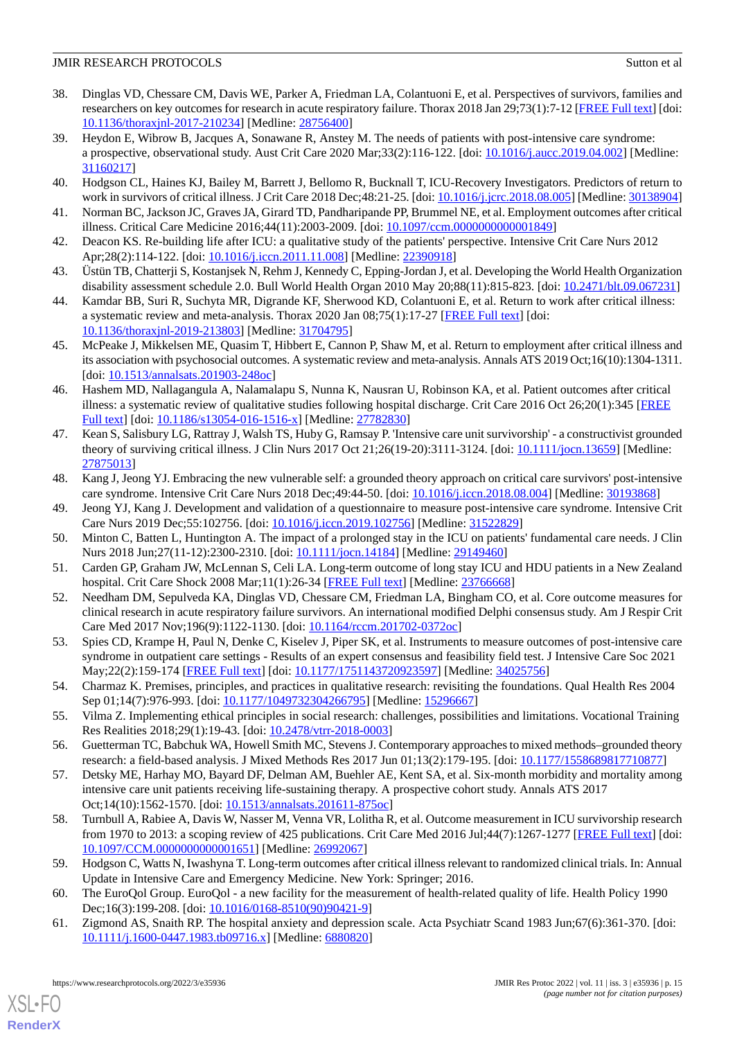- <span id="page-14-0"></span>38. Dinglas VD, Chessare CM, Davis WE, Parker A, Friedman LA, Colantuoni E, et al. Perspectives of survivors, families and researchers on key outcomes for research in acute respiratory failure. Thorax 2018 Jan 29;73(1):7-12 [\[FREE Full text](http://europepmc.org/abstract/MED/28756400)] [doi: [10.1136/thoraxjnl-2017-210234\]](http://dx.doi.org/10.1136/thoraxjnl-2017-210234) [Medline: [28756400](http://www.ncbi.nlm.nih.gov/entrez/query.fcgi?cmd=Retrieve&db=PubMed&list_uids=28756400&dopt=Abstract)]
- <span id="page-14-1"></span>39. Heydon E, Wibrow B, Jacques A, Sonawane R, Anstey M. The needs of patients with post-intensive care syndrome: a prospective, observational study. Aust Crit Care 2020 Mar;33(2):116-122. [doi: [10.1016/j.aucc.2019.04.002\]](http://dx.doi.org/10.1016/j.aucc.2019.04.002) [Medline: [31160217](http://www.ncbi.nlm.nih.gov/entrez/query.fcgi?cmd=Retrieve&db=PubMed&list_uids=31160217&dopt=Abstract)]
- <span id="page-14-4"></span>40. Hodgson CL, Haines KJ, Bailey M, Barrett J, Bellomo R, Bucknall T, ICU-Recovery Investigators. Predictors of return to work in survivors of critical illness. J Crit Care 2018 Dec;48:21-25. [doi: [10.1016/j.jcrc.2018.08.005\]](http://dx.doi.org/10.1016/j.jcrc.2018.08.005) [Medline: [30138904](http://www.ncbi.nlm.nih.gov/entrez/query.fcgi?cmd=Retrieve&db=PubMed&list_uids=30138904&dopt=Abstract)]
- <span id="page-14-2"></span>41. Norman BC, Jackson JC, Graves JA, Girard TD, Pandharipande PP, Brummel NE, et al. Employment outcomes after critical illness. Critical Care Medicine 2016;44(11):2003-2009. [doi: [10.1097/ccm.0000000000001849\]](http://dx.doi.org/10.1097/ccm.0000000000001849)
- <span id="page-14-3"></span>42. Deacon KS. Re-building life after ICU: a qualitative study of the patients' perspective. Intensive Crit Care Nurs 2012 Apr;28(2):114-122. [doi: [10.1016/j.iccn.2011.11.008\]](http://dx.doi.org/10.1016/j.iccn.2011.11.008) [Medline: [22390918](http://www.ncbi.nlm.nih.gov/entrez/query.fcgi?cmd=Retrieve&db=PubMed&list_uids=22390918&dopt=Abstract)]
- <span id="page-14-5"></span>43. Üstün TB, Chatterji S, Kostanjsek N, Rehm J, Kennedy C, Epping-Jordan J, et al. Developing the World Health Organization disability assessment schedule 2.0. Bull World Health Organ 2010 May 20;88(11):815-823. [doi: [10.2471/blt.09.067231\]](http://dx.doi.org/10.2471/blt.09.067231)
- <span id="page-14-6"></span>44. Kamdar BB, Suri R, Suchyta MR, Digrande KF, Sherwood KD, Colantuoni E, et al. Return to work after critical illness: a systematic review and meta-analysis. Thorax 2020 Jan 08;75(1):17-27 [\[FREE Full text\]](http://europepmc.org/abstract/MED/31704795) [doi: [10.1136/thoraxjnl-2019-213803\]](http://dx.doi.org/10.1136/thoraxjnl-2019-213803) [Medline: [31704795](http://www.ncbi.nlm.nih.gov/entrez/query.fcgi?cmd=Retrieve&db=PubMed&list_uids=31704795&dopt=Abstract)]
- <span id="page-14-7"></span>45. McPeake J, Mikkelsen ME, Quasim T, Hibbert E, Cannon P, Shaw M, et al. Return to employment after critical illness and its association with psychosocial outcomes. A systematic review and meta-analysis. Annals ATS 2019 Oct;16(10):1304-1311. [doi: [10.1513/annalsats.201903-248oc](http://dx.doi.org/10.1513/annalsats.201903-248oc)]
- <span id="page-14-8"></span>46. Hashem MD, Nallagangula A, Nalamalapu S, Nunna K, Nausran U, Robinson KA, et al. Patient outcomes after critical illness: a systematic review of qualitative studies following hospital discharge. Crit Care 2016 Oct 26;20(1):345 [\[FREE](https://ccforum.biomedcentral.com/articles/10.1186/s13054-016-1516-x) [Full text\]](https://ccforum.biomedcentral.com/articles/10.1186/s13054-016-1516-x) [doi: [10.1186/s13054-016-1516-x](http://dx.doi.org/10.1186/s13054-016-1516-x)] [Medline: [27782830](http://www.ncbi.nlm.nih.gov/entrez/query.fcgi?cmd=Retrieve&db=PubMed&list_uids=27782830&dopt=Abstract)]
- <span id="page-14-9"></span>47. Kean S, Salisbury LG, Rattray J, Walsh TS, Huby G, Ramsay P. 'Intensive care unit survivorship' - a constructivist grounded theory of surviving critical illness. J Clin Nurs 2017 Oct 21;26(19-20):3111-3124. [doi: [10.1111/jocn.13659](http://dx.doi.org/10.1111/jocn.13659)] [Medline: [27875013](http://www.ncbi.nlm.nih.gov/entrez/query.fcgi?cmd=Retrieve&db=PubMed&list_uids=27875013&dopt=Abstract)]
- <span id="page-14-11"></span><span id="page-14-10"></span>48. Kang J, Jeong YJ. Embracing the new vulnerable self: a grounded theory approach on critical care survivors' post-intensive care syndrome. Intensive Crit Care Nurs 2018 Dec;49:44-50. [doi: [10.1016/j.iccn.2018.08.004\]](http://dx.doi.org/10.1016/j.iccn.2018.08.004) [Medline: [30193868\]](http://www.ncbi.nlm.nih.gov/entrez/query.fcgi?cmd=Retrieve&db=PubMed&list_uids=30193868&dopt=Abstract)
- <span id="page-14-12"></span>49. Jeong YJ, Kang J. Development and validation of a questionnaire to measure post-intensive care syndrome. Intensive Crit Care Nurs 2019 Dec;55:102756. [doi: [10.1016/j.iccn.2019.102756\]](http://dx.doi.org/10.1016/j.iccn.2019.102756) [Medline: [31522829](http://www.ncbi.nlm.nih.gov/entrez/query.fcgi?cmd=Retrieve&db=PubMed&list_uids=31522829&dopt=Abstract)]
- <span id="page-14-13"></span>50. Minton C, Batten L, Huntington A. The impact of a prolonged stay in the ICU on patients' fundamental care needs. J Clin Nurs 2018 Jun;27(11-12):2300-2310. [doi: [10.1111/jocn.14184](http://dx.doi.org/10.1111/jocn.14184)] [Medline: [29149460\]](http://www.ncbi.nlm.nih.gov/entrez/query.fcgi?cmd=Retrieve&db=PubMed&list_uids=29149460&dopt=Abstract)
- <span id="page-14-14"></span>51. Carden GP, Graham JW, McLennan S, Celi LA. Long-term outcome of long stay ICU and HDU patients in a New Zealand hospital. Crit Care Shock 2008 Mar;11(1):26-34 [[FREE Full text](http://europepmc.org/abstract/MED/23766668)] [Medline: [23766668\]](http://www.ncbi.nlm.nih.gov/entrez/query.fcgi?cmd=Retrieve&db=PubMed&list_uids=23766668&dopt=Abstract)
- <span id="page-14-15"></span>52. Needham DM, Sepulveda KA, Dinglas VD, Chessare CM, Friedman LA, Bingham CO, et al. Core outcome measures for clinical research in acute respiratory failure survivors. An international modified Delphi consensus study. Am J Respir Crit Care Med 2017 Nov;196(9):1122-1130. [doi: [10.1164/rccm.201702-0372oc\]](http://dx.doi.org/10.1164/rccm.201702-0372oc)
- <span id="page-14-16"></span>53. Spies CD, Krampe H, Paul N, Denke C, Kiselev J, Piper SK, et al. Instruments to measure outcomes of post-intensive care syndrome in outpatient care settings - Results of an expert consensus and feasibility field test. J Intensive Care Soc 2021 May;22(2):159-174 [\[FREE Full text\]](http://europepmc.org/abstract/MED/34025756) [doi: [10.1177/1751143720923597](http://dx.doi.org/10.1177/1751143720923597)] [Medline: [34025756\]](http://www.ncbi.nlm.nih.gov/entrez/query.fcgi?cmd=Retrieve&db=PubMed&list_uids=34025756&dopt=Abstract)
- <span id="page-14-18"></span><span id="page-14-17"></span>54. Charmaz K. Premises, principles, and practices in qualitative research: revisiting the foundations. Qual Health Res 2004 Sep 01;14(7):976-993. [doi: [10.1177/1049732304266795](http://dx.doi.org/10.1177/1049732304266795)] [Medline: [15296667](http://www.ncbi.nlm.nih.gov/entrez/query.fcgi?cmd=Retrieve&db=PubMed&list_uids=15296667&dopt=Abstract)]
- 55. Vilma Z. Implementing ethical principles in social research: challenges, possibilities and limitations. Vocational Training Res Realities 2018;29(1):19-43. [doi: [10.2478/vtrr-2018-0003\]](http://dx.doi.org/10.2478/vtrr-2018-0003)
- <span id="page-14-19"></span>56. Guetterman TC, Babchuk WA, Howell Smith MC, Stevens J. Contemporary approaches to mixed methods–grounded theory research: a field-based analysis. J Mixed Methods Res 2017 Jun 01;13(2):179-195. [doi: [10.1177/1558689817710877\]](http://dx.doi.org/10.1177/1558689817710877)
- <span id="page-14-20"></span>57. Detsky ME, Harhay MO, Bayard DF, Delman AM, Buehler AE, Kent SA, et al. Six-month morbidity and mortality among intensive care unit patients receiving life-sustaining therapy. A prospective cohort study. Annals ATS 2017 Oct;14(10):1562-1570. [doi: [10.1513/annalsats.201611-875oc](http://dx.doi.org/10.1513/annalsats.201611-875oc)]
- <span id="page-14-22"></span><span id="page-14-21"></span>58. Turnbull A, Rabiee A, Davis W, Nasser M, Venna VR, Lolitha R, et al. Outcome measurement in ICU survivorship research from 1970 to 2013: a scoping review of 425 publications. Crit Care Med 2016 Jul;44(7):1267-1277 [[FREE Full text](http://europepmc.org/abstract/MED/26992067)] [doi: [10.1097/CCM.0000000000001651](http://dx.doi.org/10.1097/CCM.0000000000001651)] [Medline: [26992067](http://www.ncbi.nlm.nih.gov/entrez/query.fcgi?cmd=Retrieve&db=PubMed&list_uids=26992067&dopt=Abstract)]
- 59. Hodgson C, Watts N, Iwashyna T. Long-term outcomes after critical illness relevant to randomized clinical trials. In: Annual Update in Intensive Care and Emergency Medicine. New York: Springer; 2016.
- 60. The EuroQol Group. EuroQol a new facility for the measurement of health-related quality of life. Health Policy 1990 Dec;16(3):199-208. [doi: [10.1016/0168-8510\(90\)90421-9](http://dx.doi.org/10.1016/0168-8510(90)90421-9)]
- 61. Zigmond AS, Snaith RP. The hospital anxiety and depression scale. Acta Psychiatr Scand 1983 Jun;67(6):361-370. [doi: [10.1111/j.1600-0447.1983.tb09716.x\]](http://dx.doi.org/10.1111/j.1600-0447.1983.tb09716.x) [Medline: [6880820](http://www.ncbi.nlm.nih.gov/entrez/query.fcgi?cmd=Retrieve&db=PubMed&list_uids=6880820&dopt=Abstract)]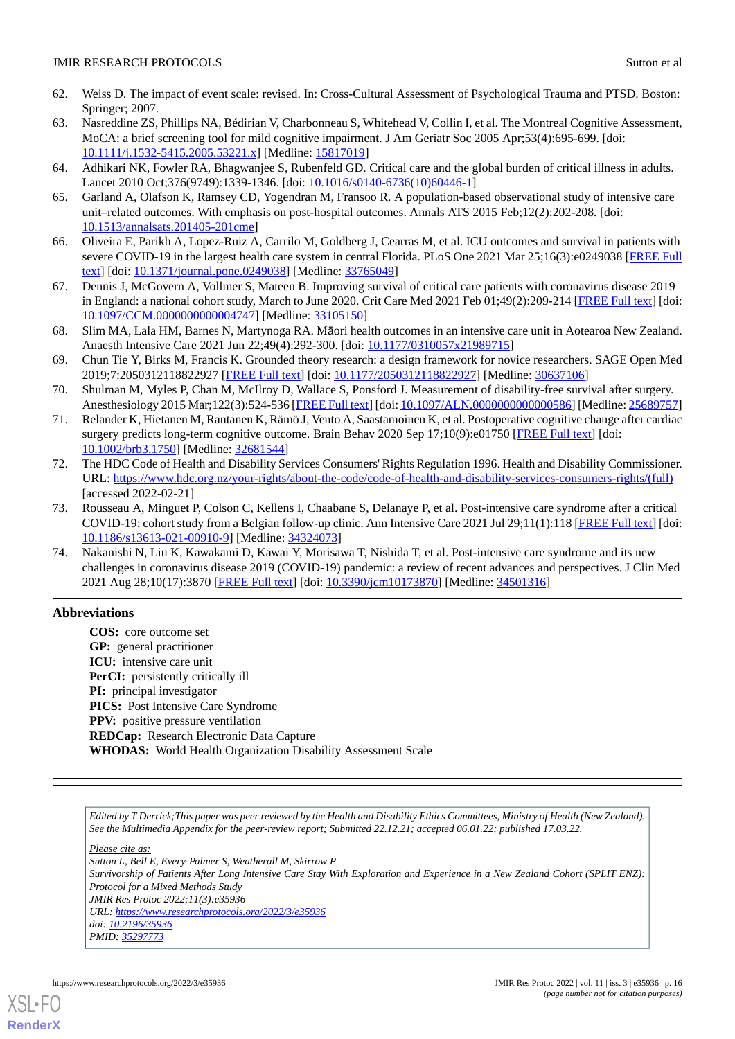- <span id="page-15-0"></span>62. Weiss D. The impact of event scale: revised. In: Cross-Cultural Assessment of Psychological Trauma and PTSD. Boston: Springer; 2007.
- <span id="page-15-1"></span>63. Nasreddine ZS, Phillips NA, Bédirian V, Charbonneau S, Whitehead V, Collin I, et al. The Montreal Cognitive Assessment, MoCA: a brief screening tool for mild cognitive impairment. J Am Geriatr Soc 2005 Apr;53(4):695-699. [doi: [10.1111/j.1532-5415.2005.53221.x\]](http://dx.doi.org/10.1111/j.1532-5415.2005.53221.x) [Medline: [15817019\]](http://www.ncbi.nlm.nih.gov/entrez/query.fcgi?cmd=Retrieve&db=PubMed&list_uids=15817019&dopt=Abstract)
- <span id="page-15-3"></span><span id="page-15-2"></span>64. Adhikari NK, Fowler RA, Bhagwanjee S, Rubenfeld GD. Critical care and the global burden of critical illness in adults. Lancet 2010 Oct;376(9749):1339-1346. [doi: [10.1016/s0140-6736\(10\)60446-1\]](http://dx.doi.org/10.1016/s0140-6736(10)60446-1)
- <span id="page-15-4"></span>65. Garland A, Olafson K, Ramsey CD, Yogendran M, Fransoo R. A population-based observational study of intensive care unit–related outcomes. With emphasis on post-hospital outcomes. Annals ATS 2015 Feb;12(2):202-208. [doi: [10.1513/annalsats.201405-201cme\]](http://dx.doi.org/10.1513/annalsats.201405-201cme)
- <span id="page-15-5"></span>66. Oliveira E, Parikh A, Lopez-Ruiz A, Carrilo M, Goldberg J, Cearras M, et al. ICU outcomes and survival in patients with severe COVID-19 in the largest health care system in central Florida. PLoS One 2021 Mar 25;16(3):e0249038 [[FREE Full](https://dx.plos.org/10.1371/journal.pone.0249038) [text](https://dx.plos.org/10.1371/journal.pone.0249038)] [doi: [10.1371/journal.pone.0249038\]](http://dx.doi.org/10.1371/journal.pone.0249038) [Medline: [33765049](http://www.ncbi.nlm.nih.gov/entrez/query.fcgi?cmd=Retrieve&db=PubMed&list_uids=33765049&dopt=Abstract)]
- <span id="page-15-6"></span>67. Dennis J, McGovern A, Vollmer S, Mateen B. Improving survival of critical care patients with coronavirus disease 2019 in England: a national cohort study, March to June 2020. Crit Care Med 2021 Feb 01;49(2):209-214 [\[FREE Full text](http://europepmc.org/abstract/MED/33105150)] [doi: [10.1097/CCM.0000000000004747](http://dx.doi.org/10.1097/CCM.0000000000004747)] [Medline: [33105150](http://www.ncbi.nlm.nih.gov/entrez/query.fcgi?cmd=Retrieve&db=PubMed&list_uids=33105150&dopt=Abstract)]
- <span id="page-15-7"></span>68. Slim MA, Lala HM, Barnes N, Martynoga RA. Māori health outcomes in an intensive care unit in Aotearoa New Zealand. Anaesth Intensive Care 2021 Jun 22;49(4):292-300. [doi: [10.1177/0310057x21989715](http://dx.doi.org/10.1177/0310057x21989715)]
- <span id="page-15-8"></span>69. Chun Tie Y, Birks M, Francis K. Grounded theory research: a design framework for novice researchers. SAGE Open Med 2019;7:2050312118822927 [[FREE Full text](https://journals.sagepub.com/doi/10.1177/2050312118822927?url_ver=Z39.88-2003&rfr_id=ori:rid:crossref.org&rfr_dat=cr_pub%3dpubmed)] [doi: [10.1177/2050312118822927\]](http://dx.doi.org/10.1177/2050312118822927) [Medline: [30637106\]](http://www.ncbi.nlm.nih.gov/entrez/query.fcgi?cmd=Retrieve&db=PubMed&list_uids=30637106&dopt=Abstract)
- <span id="page-15-9"></span>70. Shulman M, Myles P, Chan M, McIlroy D, Wallace S, Ponsford J. Measurement of disability-free survival after surgery. Anesthesiology 2015 Mar;122(3):524-536 [[FREE Full text\]](https://pubs.asahq.org/anesthesiology/article-lookup/doi/10.1097/ALN.0000000000000586) [doi: [10.1097/ALN.0000000000000586](http://dx.doi.org/10.1097/ALN.0000000000000586)] [Medline: [25689757](http://www.ncbi.nlm.nih.gov/entrez/query.fcgi?cmd=Retrieve&db=PubMed&list_uids=25689757&dopt=Abstract)]
- <span id="page-15-10"></span>71. Relander K, Hietanen M, Rantanen K, Rämö J, Vento A, Saastamoinen K, et al. Postoperative cognitive change after cardiac surgery predicts long-term cognitive outcome. Brain Behav 2020 Sep 17;10(9):e01750 [[FREE Full text](https://doi.org/10.1002/brb3.1750)] [doi: [10.1002/brb3.1750\]](http://dx.doi.org/10.1002/brb3.1750) [Medline: [32681544](http://www.ncbi.nlm.nih.gov/entrez/query.fcgi?cmd=Retrieve&db=PubMed&list_uids=32681544&dopt=Abstract)]
- <span id="page-15-11"></span>72. The HDC Code of Health and Disability Services Consumers' Rights Regulation 1996. Health and Disability Commissioner. URL: [https://www.hdc.org.nz/your-rights/about-the-code/code-of-health-and-disability-services-consumers-rights/\(full\)](https://www.hdc.org.nz/your-rights/about-the-code/code-of-health-and-disability-services-consumers-rights/(full)) [accessed 2022-02-21]
- <span id="page-15-12"></span>73. Rousseau A, Minguet P, Colson C, Kellens I, Chaabane S, Delanaye P, et al. Post-intensive care syndrome after a critical COVID-19: cohort study from a Belgian follow-up clinic. Ann Intensive Care 2021 Jul 29;11(1):118 [[FREE Full text](http://europepmc.org/abstract/MED/34324073)] [doi: [10.1186/s13613-021-00910-9\]](http://dx.doi.org/10.1186/s13613-021-00910-9) [Medline: [34324073\]](http://www.ncbi.nlm.nih.gov/entrez/query.fcgi?cmd=Retrieve&db=PubMed&list_uids=34324073&dopt=Abstract)
- 74. Nakanishi N, Liu K, Kawakami D, Kawai Y, Morisawa T, Nishida T, et al. Post-intensive care syndrome and its new challenges in coronavirus disease 2019 (COVID-19) pandemic: a review of recent advances and perspectives. J Clin Med 2021 Aug 28;10(17):3870 [[FREE Full text](https://www.mdpi.com/resolver?pii=jcm10173870)] [doi: [10.3390/jcm10173870\]](http://dx.doi.org/10.3390/jcm10173870) [Medline: [34501316](http://www.ncbi.nlm.nih.gov/entrez/query.fcgi?cmd=Retrieve&db=PubMed&list_uids=34501316&dopt=Abstract)]

# **Abbreviations**

**COS:** core outcome set **GP:** general practitioner **ICU:** intensive care unit **PerCI:** persistently critically ill **PI:** principal investigator **PICS:** Post Intensive Care Syndrome **PPV:** positive pressure ventilation **REDCap:** Research Electronic Data Capture **WHODAS:** World Health Organization Disability Assessment Scale

*Edited by T Derrick;This paper was peer reviewed by the Health and Disability Ethics Committees, Ministry of Health (New Zealand). See the Multimedia Appendix for the peer-review report; Submitted 22.12.21; accepted 06.01.22; published 17.03.22.*

*Please cite as: Sutton L, Bell E, Every-Palmer S, Weatherall M, Skirrow P Survivorship of Patients After Long Intensive Care Stay With Exploration and Experience in a New Zealand Cohort (SPLIT ENZ): Protocol for a Mixed Methods Study JMIR Res Protoc 2022;11(3):e35936 URL: <https://www.researchprotocols.org/2022/3/e35936> doi: [10.2196/35936](http://dx.doi.org/10.2196/35936) PMID: [35297773](http://www.ncbi.nlm.nih.gov/entrez/query.fcgi?cmd=Retrieve&db=PubMed&list_uids=35297773&dopt=Abstract)*